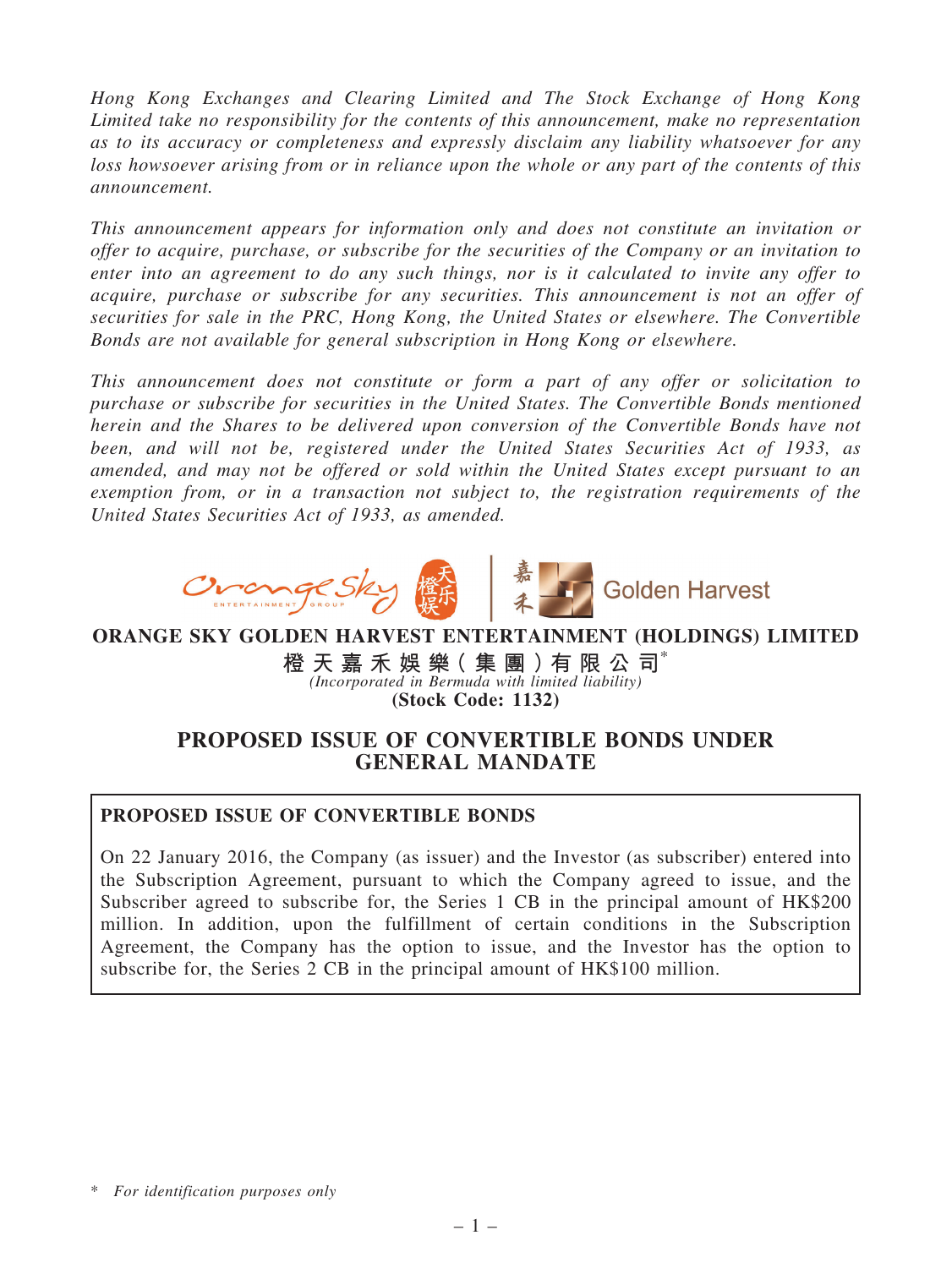Hong Kong Exchanges and Clearing Limited and The Stock Exchange of Hong Kong Limited take no responsibility for the contents of this announcement, make no representation as to its accuracy or completeness and expressly disclaim any liability whatsoever for any loss howsoever arising from or in reliance upon the whole or any part of the contents of this announcement.

This announcement appears for information only and does not constitute an invitation or offer to acquire, purchase, or subscribe for the securities of the Company or an invitation to enter into an agreement to do any such things, nor is it calculated to invite any offer to acquire, purchase or subscribe for any securities. This announcement is not an offer of securities for sale in the PRC, Hong Kong, the United States or elsewhere. The Convertible Bonds are not available for general subscription in Hong Kong or elsewhere.

This announcement does not constitute or form a part of any offer or solicitation to purchase or subscribe for securities in the United States. The Convertible Bonds mentioned herein and the Shares to be delivered upon conversion of the Convertible Bonds have not been, and will not be, registered under the United States Securities Act of 1933, as amended, and may not be offered or sold within the United States except pursuant to an exemption from, or in a transaction not subject to, the registration requirements of the United States Securities Act of 1933, as amended.



ORANGE SKY GOLDEN HARVEST ENTERTAINMENT (HOLDINGS) LIMITED

橙 天 嘉 禾 娛 樂 ( 集 團 ) 有 限 公 司 $^{\circ}$ (Incorporated in Bermuda with limited liability) (Stock Code: 1132)

# PROPOSED ISSUE OF CONVERTIBLE BONDS UNDER GENERAL MANDATE

# PROPOSED ISSUE OF CONVERTIBLE BONDS

On 22 January 2016, the Company (as issuer) and the Investor (as subscriber) entered into the Subscription Agreement, pursuant to which the Company agreed to issue, and the Subscriber agreed to subscribe for, the Series 1 CB in the principal amount of HK\$200 million. In addition, upon the fulfillment of certain conditions in the Subscription Agreement, the Company has the option to issue, and the Investor has the option to subscribe for, the Series 2 CB in the principal amount of HK\$100 million.

<sup>\*</sup> For identification purposes only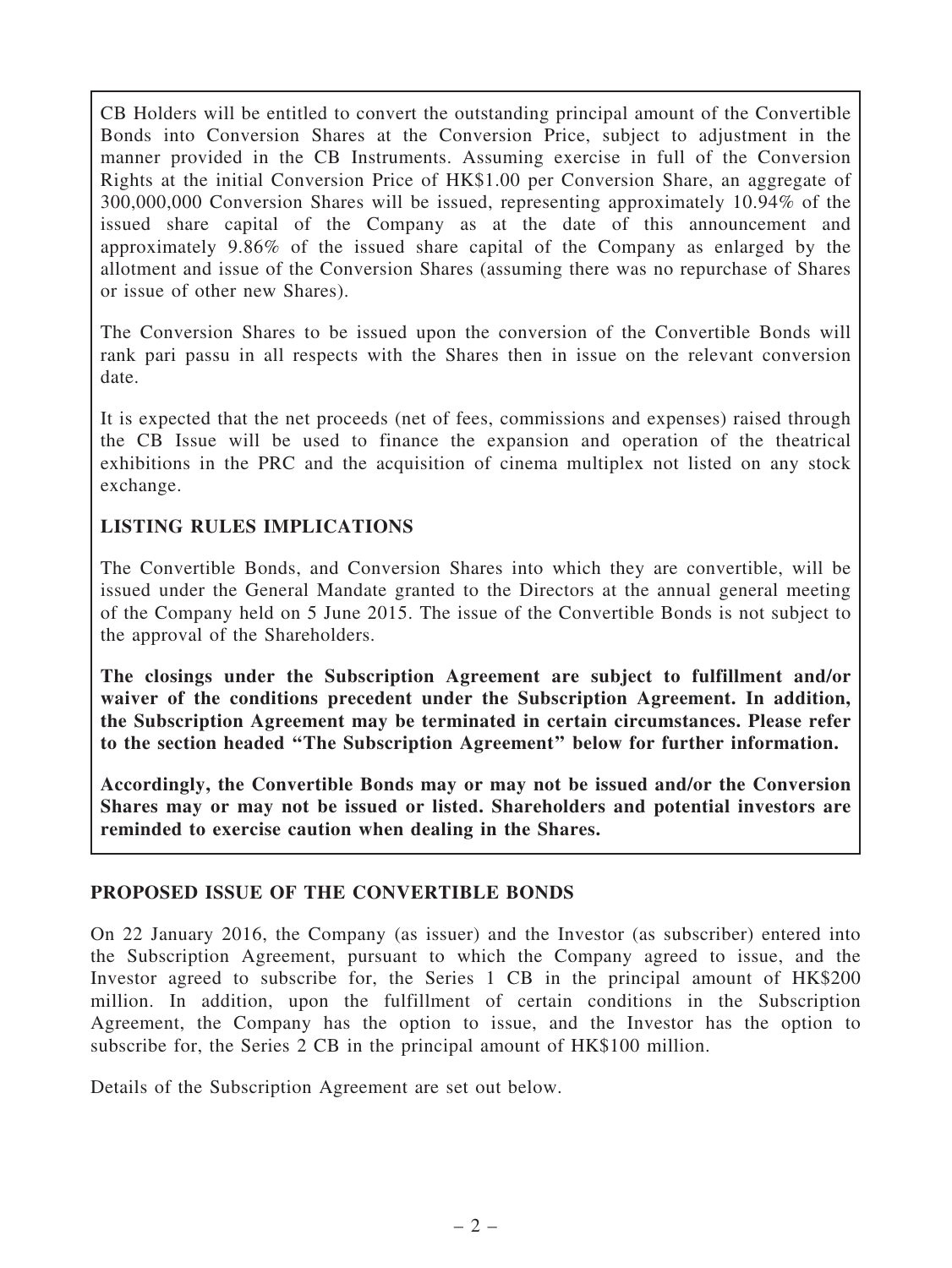CB Holders will be entitled to convert the outstanding principal amount of the Convertible Bonds into Conversion Shares at the Conversion Price, subject to adjustment in the manner provided in the CB Instruments. Assuming exercise in full of the Conversion Rights at the initial Conversion Price of HK\$1.00 per Conversion Share, an aggregate of 300,000,000 Conversion Shares will be issued, representing approximately 10.94% of the issued share capital of the Company as at the date of this announcement and approximately 9.86% of the issued share capital of the Company as enlarged by the allotment and issue of the Conversion Shares (assuming there was no repurchase of Shares or issue of other new Shares).

The Conversion Shares to be issued upon the conversion of the Convertible Bonds will rank pari passu in all respects with the Shares then in issue on the relevant conversion date.

It is expected that the net proceeds (net of fees, commissions and expenses) raised through the CB Issue will be used to finance the expansion and operation of the theatrical exhibitions in the PRC and the acquisition of cinema multiplex not listed on any stock exchange.

# LISTING RULES IMPLICATIONS

The Convertible Bonds, and Conversion Shares into which they are convertible, will be issued under the General Mandate granted to the Directors at the annual general meeting of the Company held on 5 June 2015. The issue of the Convertible Bonds is not subject to the approval of the Shareholders.

The closings under the Subscription Agreement are subject to fulfillment and/or waiver of the conditions precedent under the Subscription Agreement. In addition, the Subscription Agreement may be terminated in certain circumstances. Please refer to the section headed ''The Subscription Agreement'' below for further information.

Accordingly, the Convertible Bonds may or may not be issued and/or the Conversion Shares may or may not be issued or listed. Shareholders and potential investors are reminded to exercise caution when dealing in the Shares.

#### PROPOSED ISSUE OF THE CONVERTIBLE BONDS

On 22 January 2016, the Company (as issuer) and the Investor (as subscriber) entered into the Subscription Agreement, pursuant to which the Company agreed to issue, and the Investor agreed to subscribe for, the Series 1 CB in the principal amount of HK\$200 million. In addition, upon the fulfillment of certain conditions in the Subscription Agreement, the Company has the option to issue, and the Investor has the option to subscribe for, the Series 2 CB in the principal amount of HK\$100 million.

Details of the Subscription Agreement are set out below.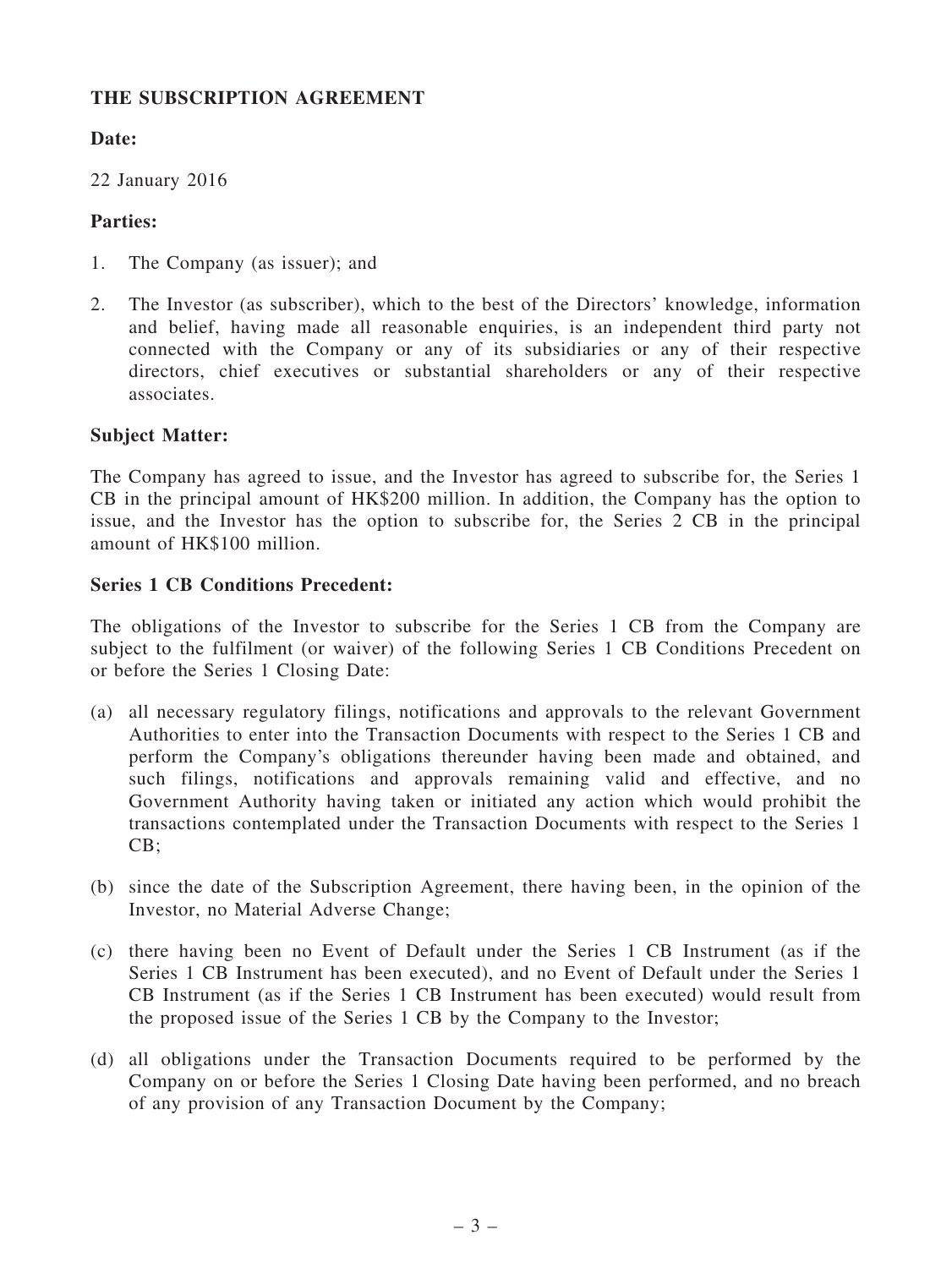# THE SUBSCRIPTION AGREEMENT

# Date:

22 January 2016

# Parties:

- 1. The Company (as issuer); and
- 2. The Investor (as subscriber), which to the best of the Directors' knowledge, information and belief, having made all reasonable enquiries, is an independent third party not connected with the Company or any of its subsidiaries or any of their respective directors, chief executives or substantial shareholders or any of their respective associates.

# Subject Matter:

The Company has agreed to issue, and the Investor has agreed to subscribe for, the Series 1 CB in the principal amount of HK\$200 million. In addition, the Company has the option to issue, and the Investor has the option to subscribe for, the Series 2 CB in the principal amount of HK\$100 million.

# Series 1 CB Conditions Precedent:

The obligations of the Investor to subscribe for the Series 1 CB from the Company are subject to the fulfilment (or waiver) of the following Series 1 CB Conditions Precedent on or before the Series 1 Closing Date:

- (a) all necessary regulatory filings, notifications and approvals to the relevant Government Authorities to enter into the Transaction Documents with respect to the Series 1 CB and perform the Company's obligations thereunder having been made and obtained, and such filings, notifications and approvals remaining valid and effective, and no Government Authority having taken or initiated any action which would prohibit the transactions contemplated under the Transaction Documents with respect to the Series 1 CB;
- (b) since the date of the Subscription Agreement, there having been, in the opinion of the Investor, no Material Adverse Change;
- (c) there having been no Event of Default under the Series 1 CB Instrument (as if the Series 1 CB Instrument has been executed), and no Event of Default under the Series 1 CB Instrument (as if the Series 1 CB Instrument has been executed) would result from the proposed issue of the Series 1 CB by the Company to the Investor;
- (d) all obligations under the Transaction Documents required to be performed by the Company on or before the Series 1 Closing Date having been performed, and no breach of any provision of any Transaction Document by the Company;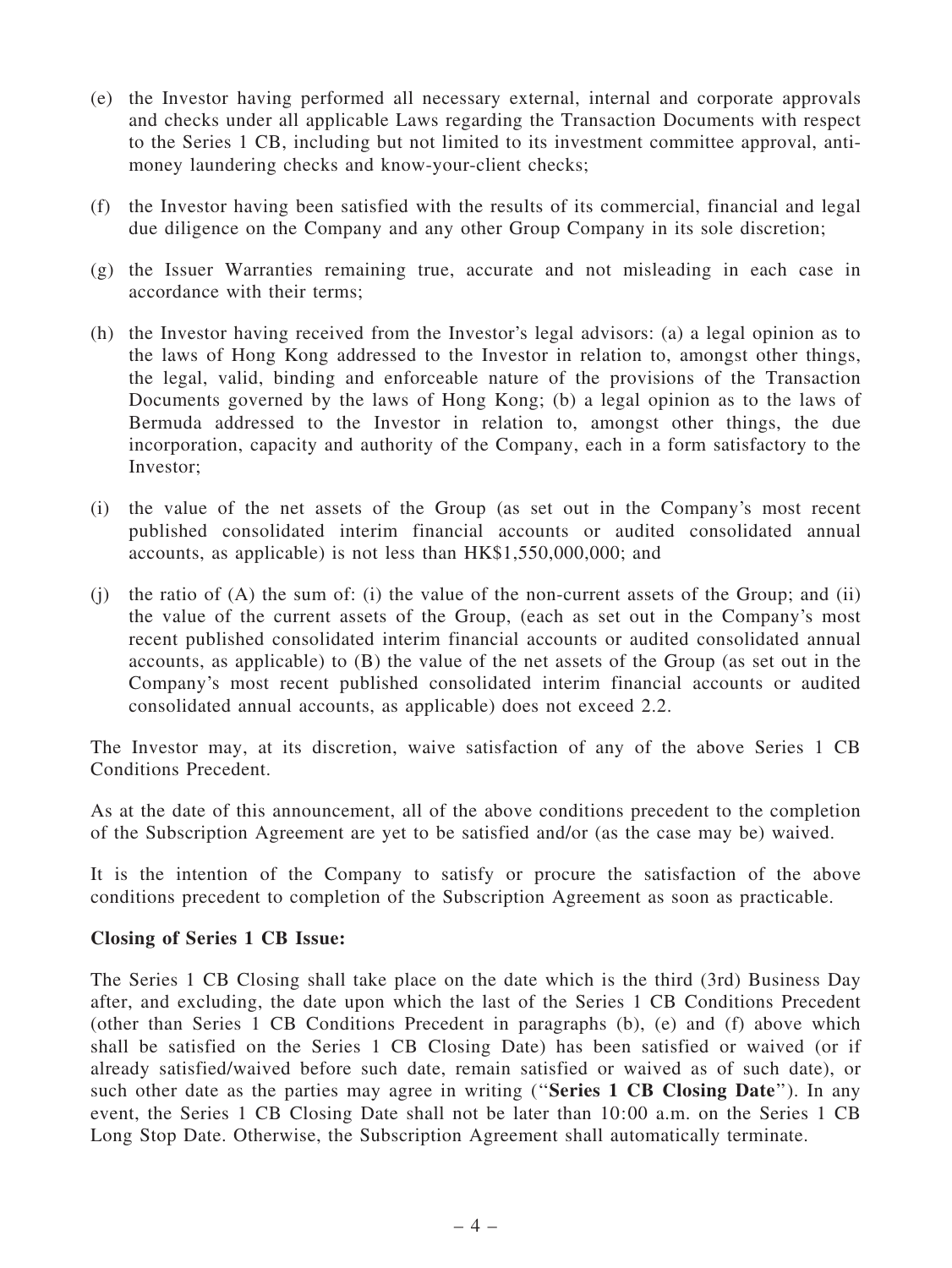- (e) the Investor having performed all necessary external, internal and corporate approvals and checks under all applicable Laws regarding the Transaction Documents with respect to the Series 1 CB, including but not limited to its investment committee approval, antimoney laundering checks and know-your-client checks;
- (f) the Investor having been satisfied with the results of its commercial, financial and legal due diligence on the Company and any other Group Company in its sole discretion;
- (g) the Issuer Warranties remaining true, accurate and not misleading in each case in accordance with their terms;
- (h) the Investor having received from the Investor's legal advisors: (a) a legal opinion as to the laws of Hong Kong addressed to the Investor in relation to, amongst other things, the legal, valid, binding and enforceable nature of the provisions of the Transaction Documents governed by the laws of Hong Kong; (b) a legal opinion as to the laws of Bermuda addressed to the Investor in relation to, amongst other things, the due incorporation, capacity and authority of the Company, each in a form satisfactory to the Investor;
- (i) the value of the net assets of the Group (as set out in the Company's most recent published consolidated interim financial accounts or audited consolidated annual accounts, as applicable) is not less than HK\$1,550,000,000; and
- $(i)$  the ratio of  $(A)$  the sum of:  $(i)$  the value of the non-current assets of the Group; and  $(ii)$ the value of the current assets of the Group, (each as set out in the Company's most recent published consolidated interim financial accounts or audited consolidated annual accounts, as applicable) to (B) the value of the net assets of the Group (as set out in the Company's most recent published consolidated interim financial accounts or audited consolidated annual accounts, as applicable) does not exceed 2.2.

The Investor may, at its discretion, waive satisfaction of any of the above Series 1 CB Conditions Precedent.

As at the date of this announcement, all of the above conditions precedent to the completion of the Subscription Agreement are yet to be satisfied and/or (as the case may be) waived.

It is the intention of the Company to satisfy or procure the satisfaction of the above conditions precedent to completion of the Subscription Agreement as soon as practicable.

#### Closing of Series 1 CB Issue:

The Series 1 CB Closing shall take place on the date which is the third (3rd) Business Day after, and excluding, the date upon which the last of the Series 1 CB Conditions Precedent (other than Series 1 CB Conditions Precedent in paragraphs (b), (e) and (f) above which shall be satisfied on the Series 1 CB Closing Date) has been satisfied or waived (or if already satisfied/waived before such date, remain satisfied or waived as of such date), or such other date as the parties may agree in writing ("Series 1 CB Closing Date"). In any event, the Series 1 CB Closing Date shall not be later than 10:00 a.m. on the Series 1 CB Long Stop Date. Otherwise, the Subscription Agreement shall automatically terminate.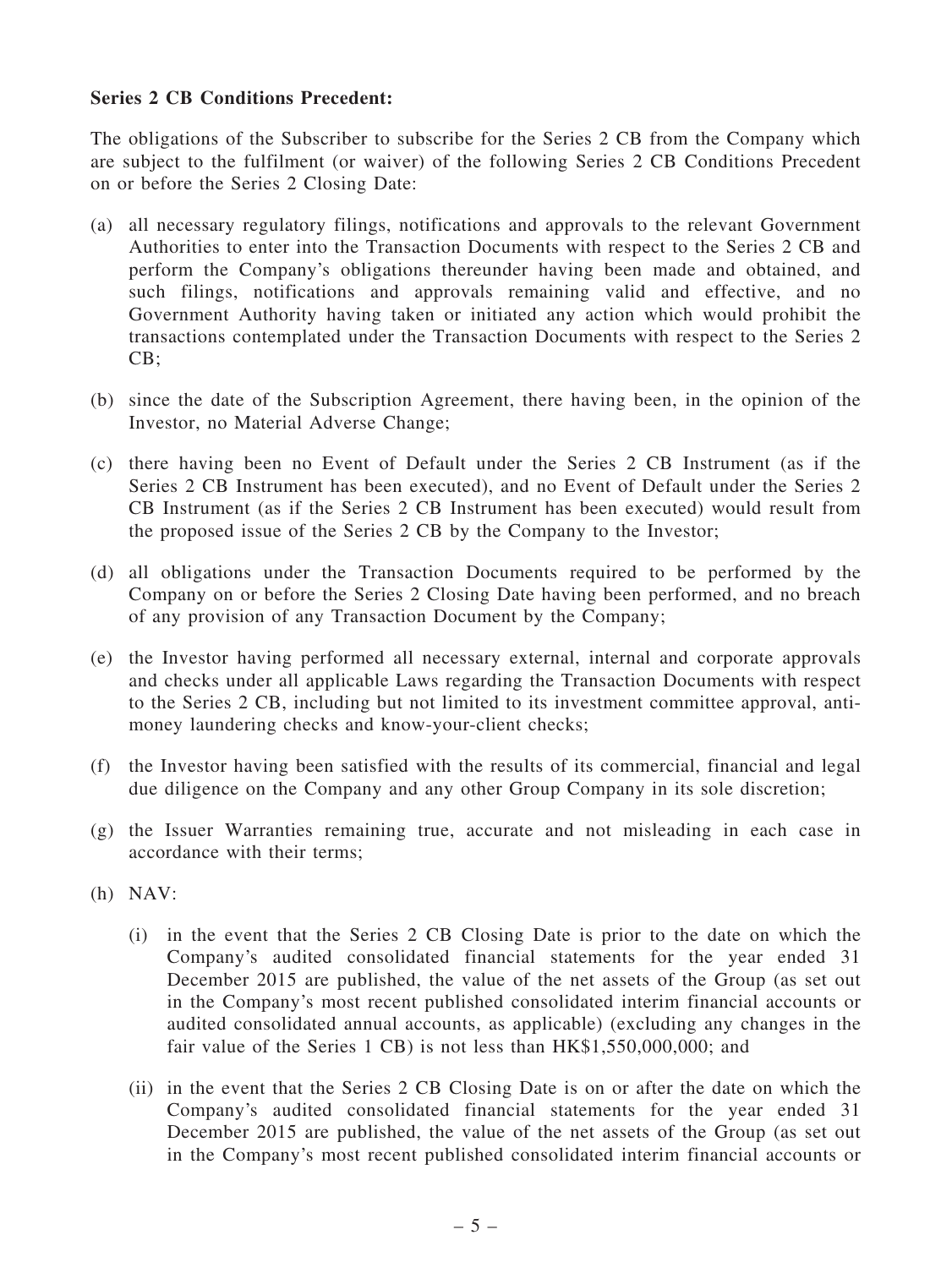### Series 2 CB Conditions Precedent:

The obligations of the Subscriber to subscribe for the Series 2 CB from the Company which are subject to the fulfilment (or waiver) of the following Series 2 CB Conditions Precedent on or before the Series 2 Closing Date:

- (a) all necessary regulatory filings, notifications and approvals to the relevant Government Authorities to enter into the Transaction Documents with respect to the Series 2 CB and perform the Company's obligations thereunder having been made and obtained, and such filings, notifications and approvals remaining valid and effective, and no Government Authority having taken or initiated any action which would prohibit the transactions contemplated under the Transaction Documents with respect to the Series 2 CB;
- (b) since the date of the Subscription Agreement, there having been, in the opinion of the Investor, no Material Adverse Change;
- (c) there having been no Event of Default under the Series 2 CB Instrument (as if the Series 2 CB Instrument has been executed), and no Event of Default under the Series 2 CB Instrument (as if the Series 2 CB Instrument has been executed) would result from the proposed issue of the Series 2 CB by the Company to the Investor;
- (d) all obligations under the Transaction Documents required to be performed by the Company on or before the Series 2 Closing Date having been performed, and no breach of any provision of any Transaction Document by the Company;
- (e) the Investor having performed all necessary external, internal and corporate approvals and checks under all applicable Laws regarding the Transaction Documents with respect to the Series 2 CB, including but not limited to its investment committee approval, antimoney laundering checks and know-your-client checks;
- (f) the Investor having been satisfied with the results of its commercial, financial and legal due diligence on the Company and any other Group Company in its sole discretion;
- (g) the Issuer Warranties remaining true, accurate and not misleading in each case in accordance with their terms;
- (h) NAV:
	- (i) in the event that the Series 2 CB Closing Date is prior to the date on which the Company's audited consolidated financial statements for the year ended 31 December 2015 are published, the value of the net assets of the Group (as set out in the Company's most recent published consolidated interim financial accounts or audited consolidated annual accounts, as applicable) (excluding any changes in the fair value of the Series 1 CB) is not less than  $HK$1,550,000,000$ ; and
	- (ii) in the event that the Series 2 CB Closing Date is on or after the date on which the Company's audited consolidated financial statements for the year ended 31 December 2015 are published, the value of the net assets of the Group (as set out in the Company's most recent published consolidated interim financial accounts or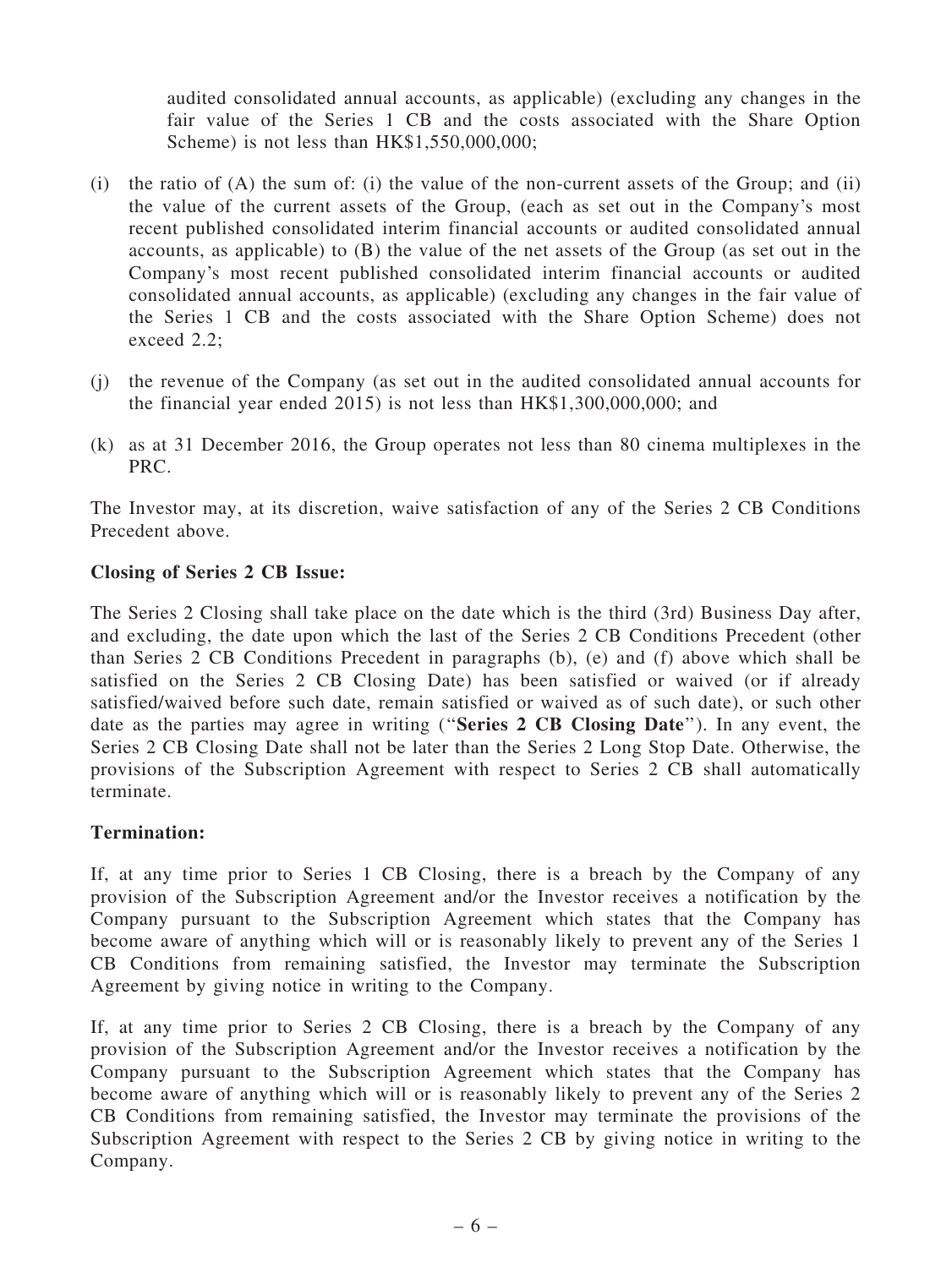audited consolidated annual accounts, as applicable) (excluding any changes in the fair value of the Series 1 CB and the costs associated with the Share Option Scheme) is not less than HK\$1,550,000,000;

- (i) the ratio of (A) the sum of: (i) the value of the non-current assets of the Group; and (ii) the value of the current assets of the Group, (each as set out in the Company's most recent published consolidated interim financial accounts or audited consolidated annual accounts, as applicable) to (B) the value of the net assets of the Group (as set out in the Company's most recent published consolidated interim financial accounts or audited consolidated annual accounts, as applicable) (excluding any changes in the fair value of the Series 1 CB and the costs associated with the Share Option Scheme) does not exceed 2.2;
- (j) the revenue of the Company (as set out in the audited consolidated annual accounts for the financial year ended 2015) is not less than HK\$1,300,000,000; and
- (k) as at 31 December 2016, the Group operates not less than 80 cinema multiplexes in the PRC.

The Investor may, at its discretion, waive satisfaction of any of the Series 2 CB Conditions Precedent above.

### Closing of Series 2 CB Issue:

The Series 2 Closing shall take place on the date which is the third (3rd) Business Day after, and excluding, the date upon which the last of the Series 2 CB Conditions Precedent (other than Series 2 CB Conditions Precedent in paragraphs (b), (e) and (f) above which shall be satisfied on the Series 2 CB Closing Date) has been satisfied or waived (or if already satisfied/waived before such date, remain satisfied or waived as of such date), or such other date as the parties may agree in writing ("Series 2 CB Closing Date"). In any event, the Series 2 CB Closing Date shall not be later than the Series 2 Long Stop Date. Otherwise, the provisions of the Subscription Agreement with respect to Series 2 CB shall automatically terminate.

# Termination:

If, at any time prior to Series 1 CB Closing, there is a breach by the Company of any provision of the Subscription Agreement and/or the Investor receives a notification by the Company pursuant to the Subscription Agreement which states that the Company has become aware of anything which will or is reasonably likely to prevent any of the Series 1 CB Conditions from remaining satisfied, the Investor may terminate the Subscription Agreement by giving notice in writing to the Company.

If, at any time prior to Series 2 CB Closing, there is a breach by the Company of any provision of the Subscription Agreement and/or the Investor receives a notification by the Company pursuant to the Subscription Agreement which states that the Company has become aware of anything which will or is reasonably likely to prevent any of the Series 2 CB Conditions from remaining satisfied, the Investor may terminate the provisions of the Subscription Agreement with respect to the Series 2 CB by giving notice in writing to the Company.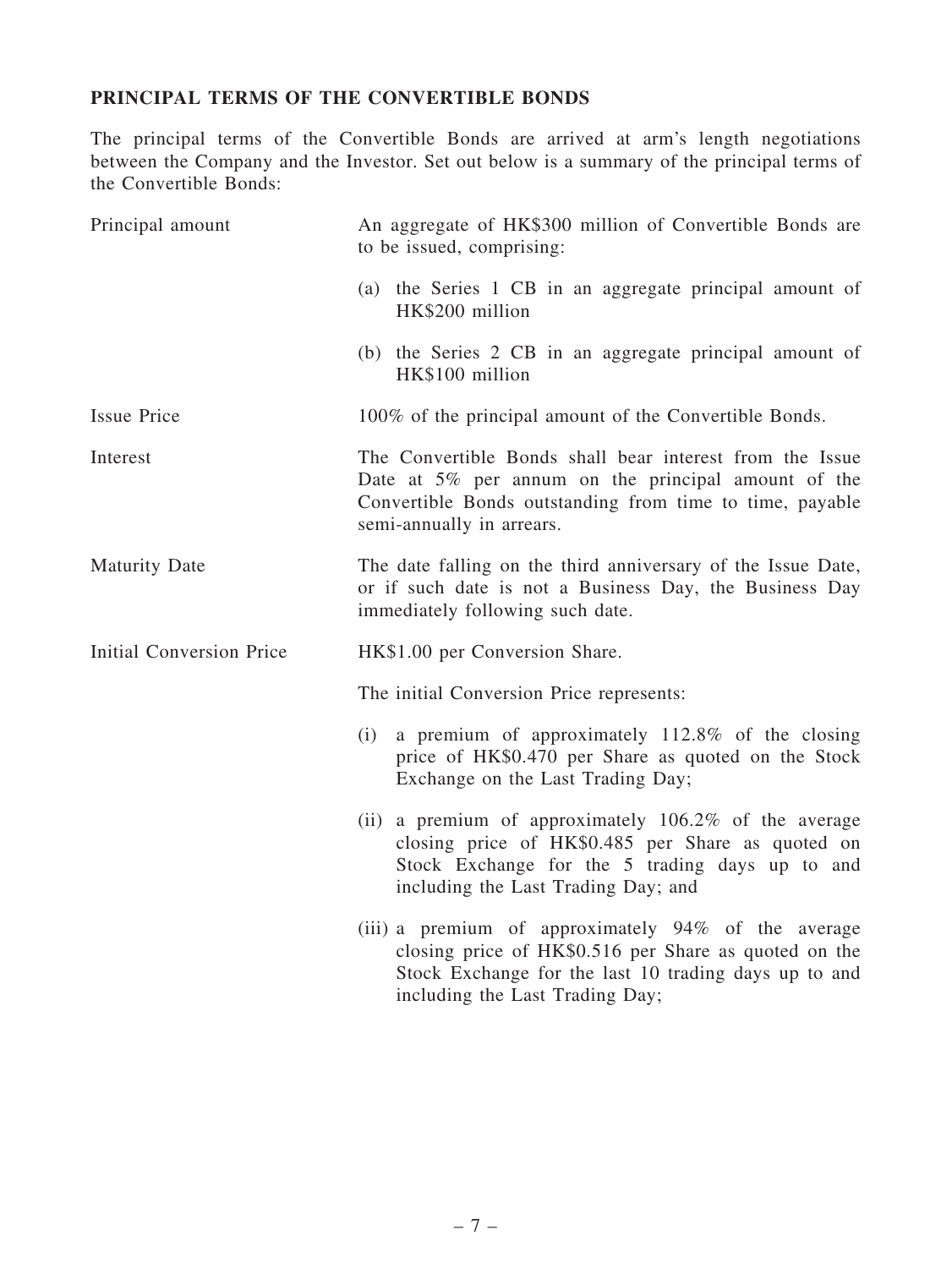# PRINCIPAL TERMS OF THE CONVERTIBLE BONDS

The principal terms of the Convertible Bonds are arrived at arm's length negotiations between the Company and the Investor. Set out below is a summary of the principal terms of the Convertible Bonds:

| Principal amount         | An aggregate of HK\$300 million of Convertible Bonds are<br>to be issued, comprising:                                                                                                                       |
|--------------------------|-------------------------------------------------------------------------------------------------------------------------------------------------------------------------------------------------------------|
|                          | (a) the Series 1 CB in an aggregate principal amount of<br>HK\$200 million                                                                                                                                  |
|                          | (b) the Series 2 CB in an aggregate principal amount of<br>HK\$100 million                                                                                                                                  |
| <b>Issue Price</b>       | 100% of the principal amount of the Convertible Bonds.                                                                                                                                                      |
| Interest                 | The Convertible Bonds shall bear interest from the Issue<br>Date at $5\%$ per annum on the principal amount of the<br>Convertible Bonds outstanding from time to time, payable<br>semi-annually in arrears. |
| <b>Maturity Date</b>     | The date falling on the third anniversary of the Issue Date,<br>or if such date is not a Business Day, the Business Day<br>immediately following such date.                                                 |
| Initial Conversion Price | HK\$1.00 per Conversion Share.                                                                                                                                                                              |
|                          | The initial Conversion Price represents:                                                                                                                                                                    |
|                          | a premium of approximately 112.8% of the closing<br>(i)<br>price of HK\$0.470 per Share as quoted on the Stock<br>Exchange on the Last Trading Day;                                                         |
|                          | (ii) a premium of approximately $106.2\%$ of the average<br>closing price of HK\$0.485 per Share as quoted on<br>Stock Exchange for the 5 trading days up to and<br>including the Last Trading Day; and     |
|                          | (iii) a premium of approximately 94% of the average<br>closing price of HK\$0.516 per Share as quoted on the<br>Stock Exchange for the last 10 trading days up to and<br>including the Last Trading Day;    |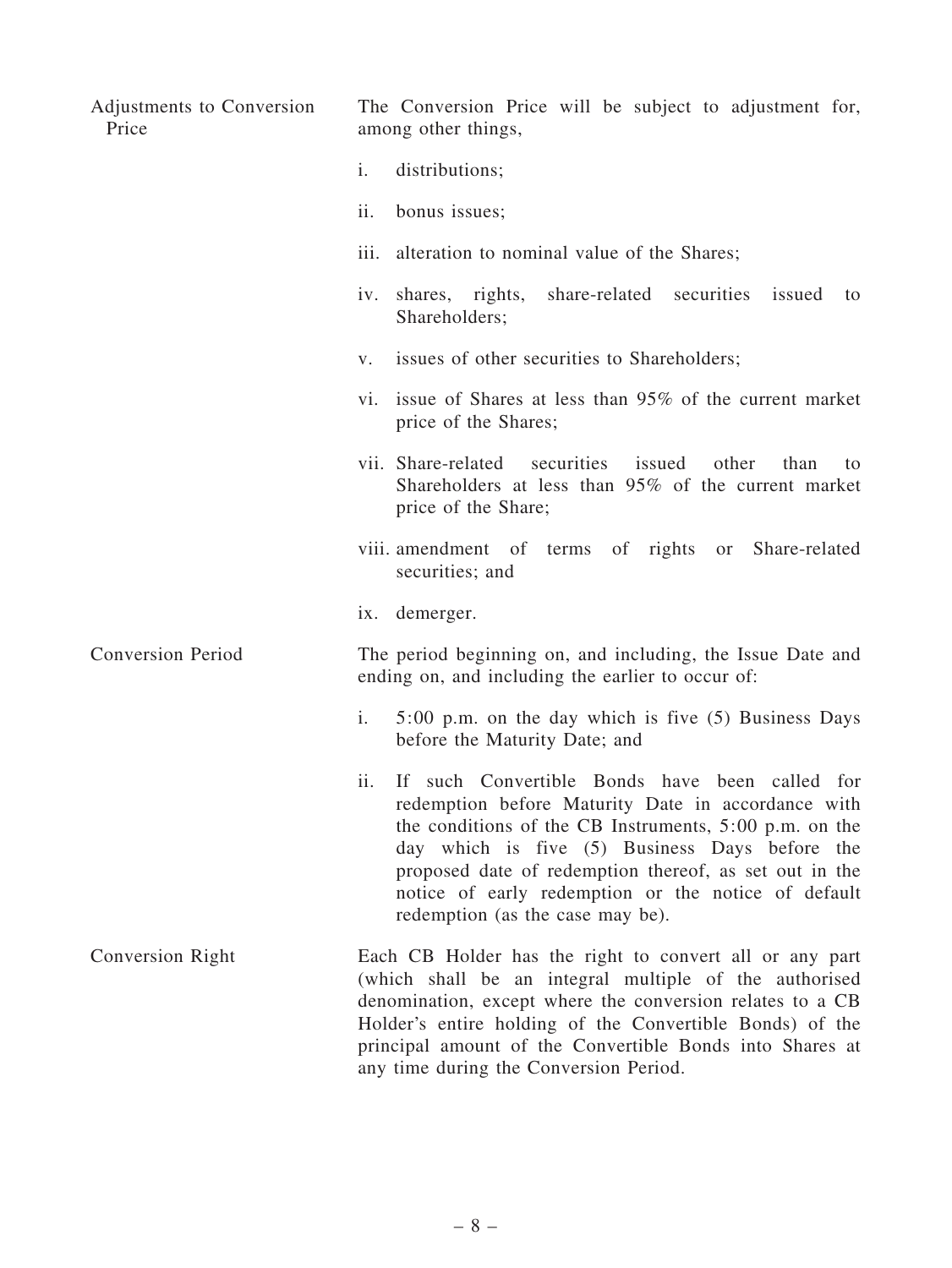| Adjustments to Conversion<br>Price | The Conversion Price will be subject to adjustment for,<br>among other things,                                                                                                                                                                                                                                                                                                 |
|------------------------------------|--------------------------------------------------------------------------------------------------------------------------------------------------------------------------------------------------------------------------------------------------------------------------------------------------------------------------------------------------------------------------------|
|                                    | $\mathbf{i}$ .<br>distributions;                                                                                                                                                                                                                                                                                                                                               |
|                                    | ii.<br>bonus issues;                                                                                                                                                                                                                                                                                                                                                           |
|                                    | alteration to nominal value of the Shares;<br>$\overline{111}$ .                                                                                                                                                                                                                                                                                                               |
|                                    | share-related securities<br>shares, rights,<br>issued<br>iv.<br>to<br>Shareholders;                                                                                                                                                                                                                                                                                            |
|                                    | issues of other securities to Shareholders;<br>$V_{\bullet}$                                                                                                                                                                                                                                                                                                                   |
|                                    | vi. issue of Shares at less than 95% of the current market<br>price of the Shares;                                                                                                                                                                                                                                                                                             |
|                                    | vii. Share-related<br>securities<br>issued<br>other<br>than<br>to<br>Shareholders at less than 95% of the current market<br>price of the Share;                                                                                                                                                                                                                                |
|                                    | viii. amendment of terms of rights or<br>Share-related<br>securities; and                                                                                                                                                                                                                                                                                                      |
|                                    | ix. demerger.                                                                                                                                                                                                                                                                                                                                                                  |
| <b>Conversion Period</b>           | The period beginning on, and including, the Issue Date and<br>ending on, and including the earlier to occur of:                                                                                                                                                                                                                                                                |
|                                    | 5:00 p.m. on the day which is five (5) Business Days<br>i.<br>before the Maturity Date; and                                                                                                                                                                                                                                                                                    |
|                                    | ii.<br>If such Convertible Bonds have been called for<br>redemption before Maturity Date in accordance with<br>the conditions of the CB Instruments, $5:00$ p.m. on the<br>day which is five (5) Business Days before the<br>proposed date of redemption thereof, as set out in the<br>notice of early redemption or the notice of default<br>redemption (as the case may be). |
| Conversion Right                   | Each CB Holder has the right to convert all or any part<br>(which shall be an integral multiple of the authorised<br>denomination, except where the conversion relates to a CB<br>Holder's entire holding of the Convertible Bonds) of the<br>principal amount of the Convertible Bonds into Shares at<br>any time during the Conversion Period.                               |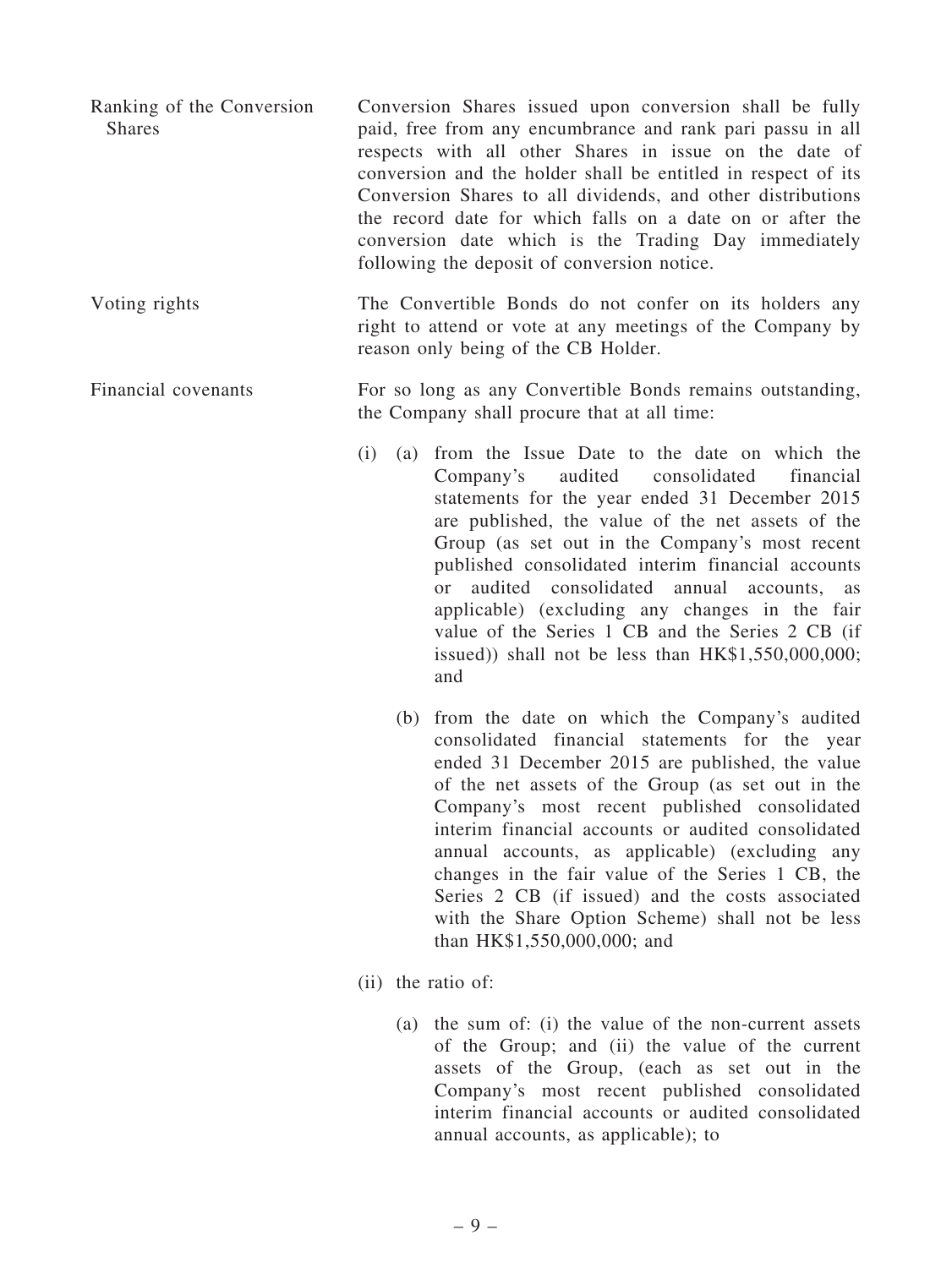- Ranking of the Conversion Shares Conversion Shares issued upon conversion shall be fully paid, free from any encumbrance and rank pari passu in all respects with all other Shares in issue on the date of conversion and the holder shall be entitled in respect of its Conversion Shares to all dividends, and other distributions the record date for which falls on a date on or after the conversion date which is the Trading Day immediately following the deposit of conversion notice.
- Voting rights The Convertible Bonds do not confer on its holders any right to attend or vote at any meetings of the Company by reason only being of the CB Holder.

### Financial covenants For so long as any Convertible Bonds remains outstanding, the Company shall procure that at all time:

- (i) (a) from the Issue Date to the date on which the Company's audited consolidated financial statements for the year ended 31 December 2015 are published, the value of the net assets of the Group (as set out in the Company's most recent published consolidated interim financial accounts or audited consolidated annual accounts, as applicable) (excluding any changes in the fair value of the Series 1 CB and the Series 2 CB (if issued)) shall not be less than HK\$1,550,000,000; and
	- (b) from the date on which the Company's audited consolidated financial statements for the year ended 31 December 2015 are published, the value of the net assets of the Group (as set out in the Company's most recent published consolidated interim financial accounts or audited consolidated annual accounts, as applicable) (excluding any changes in the fair value of the Series 1 CB, the Series 2 CB (if issued) and the costs associated with the Share Option Scheme) shall not be less than HK\$1,550,000,000; and
- (ii) the ratio of:
	- (a) the sum of: (i) the value of the non-current assets of the Group; and (ii) the value of the current assets of the Group, (each as set out in the Company's most recent published consolidated interim financial accounts or audited consolidated annual accounts, as applicable); to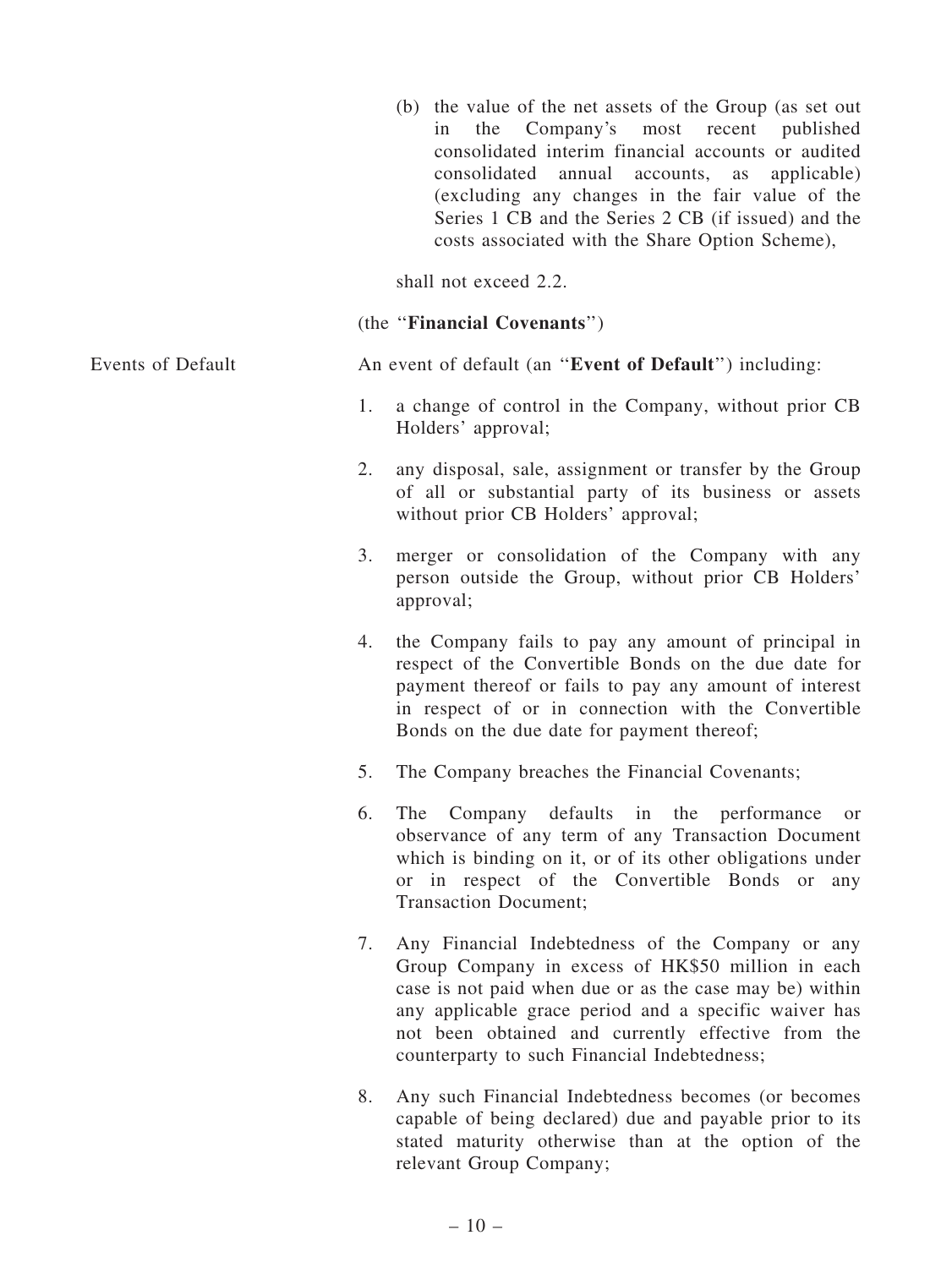|                   |    | (b) the value of the net assets of the Group (as set out<br>Company's<br>most<br>recent<br>the<br>in<br>consolidated interim financial accounts or audited<br>consolidated annual accounts, as<br>(excluding any changes in the fair value of the<br>Series 1 CB and the Series 2 CB (if issued) and the<br>costs associated with the Share Option Scheme), | published<br>applicable) |
|-------------------|----|-------------------------------------------------------------------------------------------------------------------------------------------------------------------------------------------------------------------------------------------------------------------------------------------------------------------------------------------------------------|--------------------------|
|                   |    | shall not exceed 2.2.                                                                                                                                                                                                                                                                                                                                       |                          |
|                   |    | (the "Financial Covenants")                                                                                                                                                                                                                                                                                                                                 |                          |
| Events of Default |    | An event of default (an "Event of Default") including:                                                                                                                                                                                                                                                                                                      |                          |
|                   | 1. | a change of control in the Company, without prior CB<br>Holders' approval;                                                                                                                                                                                                                                                                                  |                          |
|                   | 2. | any disposal, sale, assignment or transfer by the Group<br>of all or substantial party of its business or assets<br>without prior CB Holders' approval;                                                                                                                                                                                                     |                          |
|                   | 3. | merger or consolidation of the Company with any<br>person outside the Group, without prior CB Holders'<br>approval;                                                                                                                                                                                                                                         |                          |
|                   | 4. | the Company fails to pay any amount of principal in<br>respect of the Convertible Bonds on the due date for<br>payment thereof or fails to pay any amount of interest<br>in respect of or in connection with the Convertible<br>Bonds on the due date for payment thereof;                                                                                  |                          |
|                   | 5. | The Company breaches the Financial Covenants;                                                                                                                                                                                                                                                                                                               |                          |
|                   | 6. | The Company defaults in the performance<br>observance of any term of any Transaction Document<br>which is binding on it, or of its other obligations under<br>or in respect of the Convertible Bonds or any<br><b>Transaction Document;</b>                                                                                                                 | <sub>or</sub>            |
|                   | 7. | Any Financial Indebtedness of the Company or any<br>Group Company in excess of HK\$50 million in each<br>case is not paid when due or as the case may be) within<br>any applicable grace period and a specific waiver has<br>not been obtained and currently effective from the<br>counterparty to such Financial Indebtedness;                             |                          |
|                   | 8. | Any such Financial Indebtedness becomes (or becomes<br>capable of being declared) due and payable prior to its<br>stated maturity otherwise than at the option of the<br>relevant Group Company;                                                                                                                                                            |                          |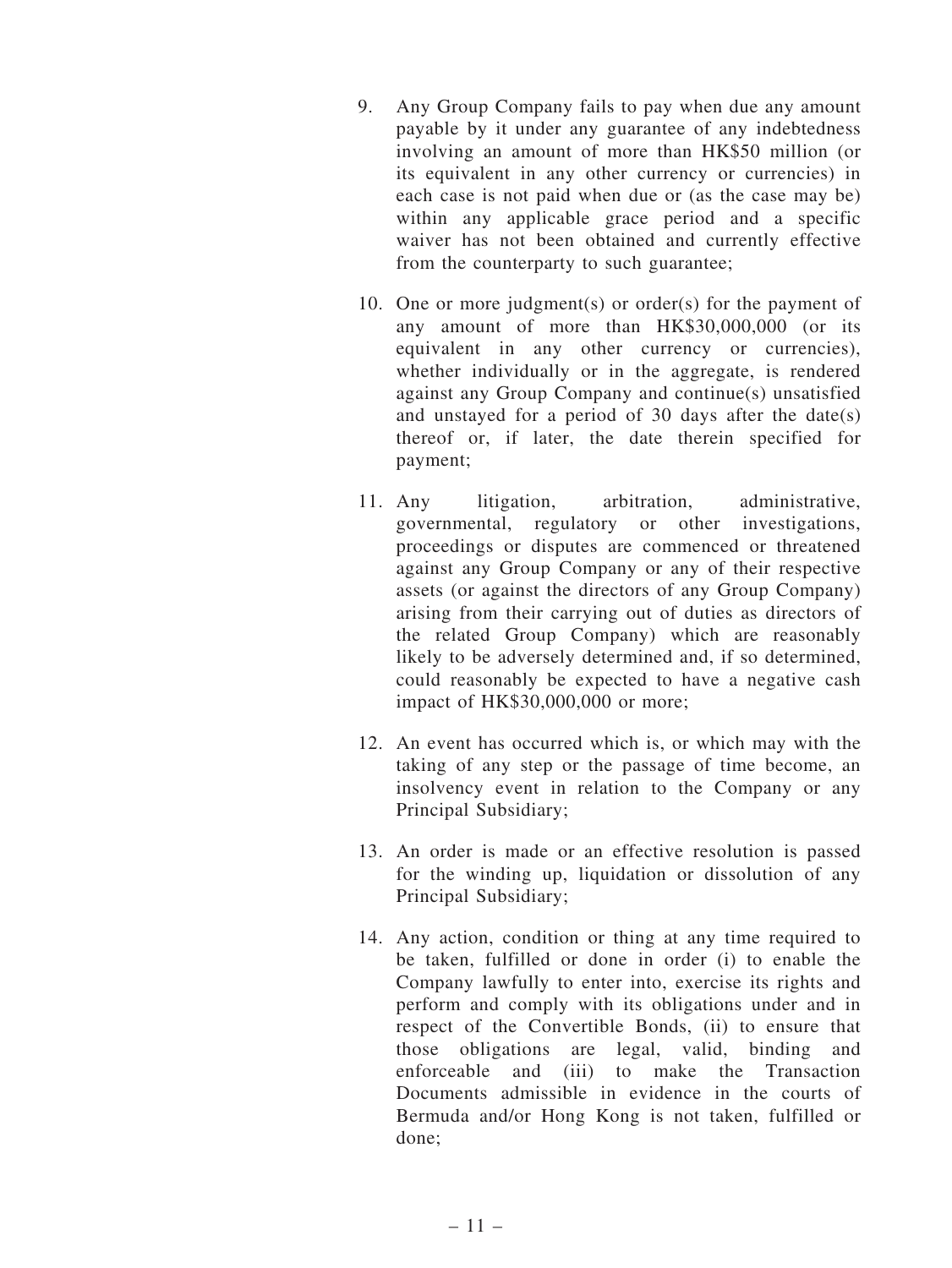- 9. Any Group Company fails to pay when due any amount payable by it under any guarantee of any indebtedness involving an amount of more than HK\$50 million (or its equivalent in any other currency or currencies) in each case is not paid when due or (as the case may be) within any applicable grace period and a specific waiver has not been obtained and currently effective from the counterparty to such guarantee;
- 10. One or more judgment(s) or order(s) for the payment of any amount of more than HK\$30,000,000 (or its equivalent in any other currency or currencies), whether individually or in the aggregate, is rendered against any Group Company and continue(s) unsatisfied and unstayed for a period of 30 days after the date(s) thereof or, if later, the date therein specified for payment;
- 11. Any litigation, arbitration, administrative, governmental, regulatory or other investigations, proceedings or disputes are commenced or threatened against any Group Company or any of their respective assets (or against the directors of any Group Company) arising from their carrying out of duties as directors of the related Group Company) which are reasonably likely to be adversely determined and, if so determined, could reasonably be expected to have a negative cash impact of HK\$30,000,000 or more;
- 12. An event has occurred which is, or which may with the taking of any step or the passage of time become, an insolvency event in relation to the Company or any Principal Subsidiary;
- 13. An order is made or an effective resolution is passed for the winding up, liquidation or dissolution of any Principal Subsidiary;
- 14. Any action, condition or thing at any time required to be taken, fulfilled or done in order (i) to enable the Company lawfully to enter into, exercise its rights and perform and comply with its obligations under and in respect of the Convertible Bonds, (ii) to ensure that those obligations are legal, valid, binding and enforceable and (iii) to make the Transaction Documents admissible in evidence in the courts of Bermuda and/or Hong Kong is not taken, fulfilled or done;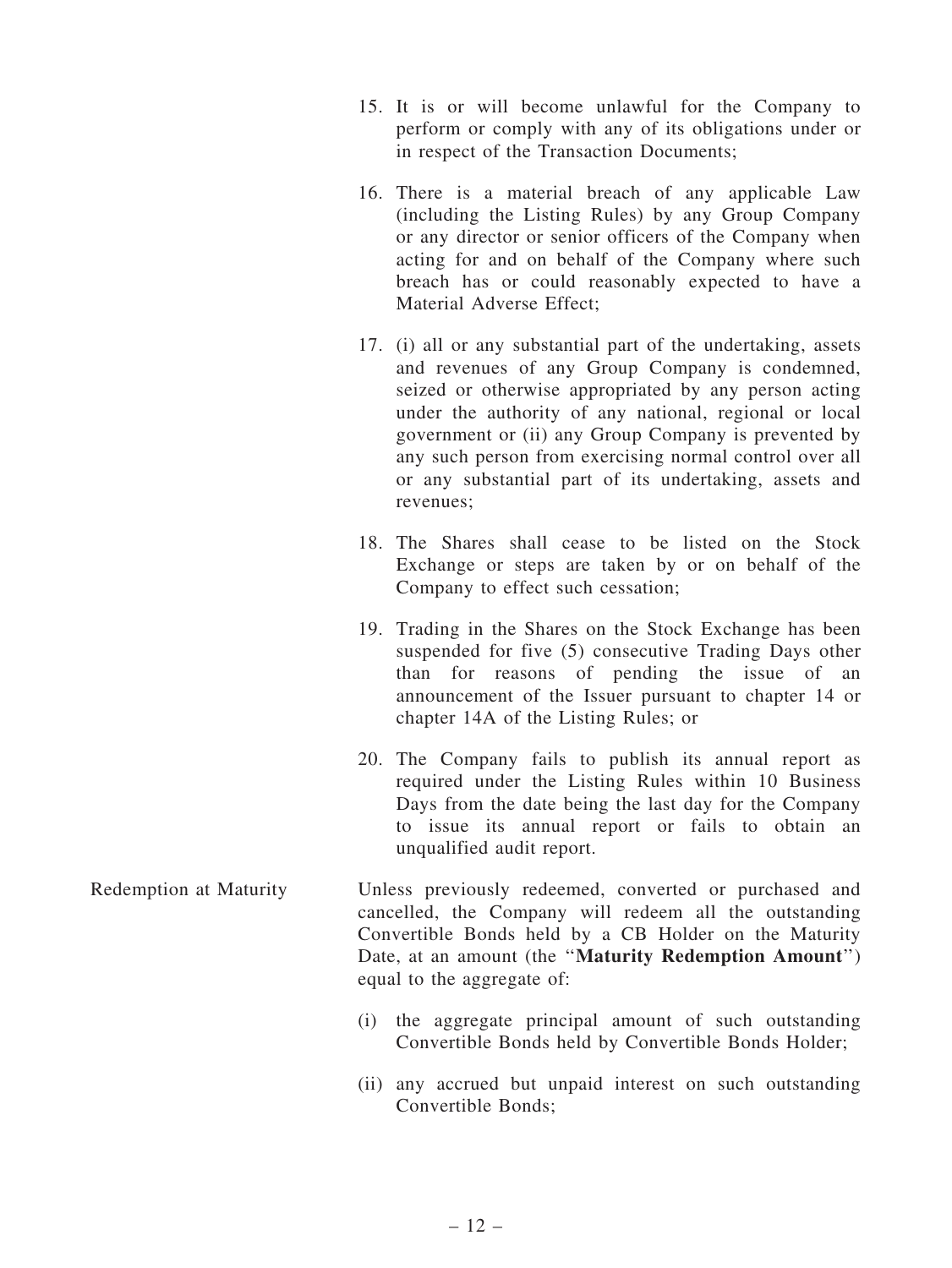- 15. It is or will become unlawful for the Company to perform or comply with any of its obligations under or in respect of the Transaction Documents;
- 16. There is a material breach of any applicable Law (including the Listing Rules) by any Group Company or any director or senior officers of the Company when acting for and on behalf of the Company where such breach has or could reasonably expected to have a Material Adverse Effect;
- 17. (i) all or any substantial part of the undertaking, assets and revenues of any Group Company is condemned, seized or otherwise appropriated by any person acting under the authority of any national, regional or local government or (ii) any Group Company is prevented by any such person from exercising normal control over all or any substantial part of its undertaking, assets and revenues;
- 18. The Shares shall cease to be listed on the Stock Exchange or steps are taken by or on behalf of the Company to effect such cessation;
- 19. Trading in the Shares on the Stock Exchange has been suspended for five (5) consecutive Trading Days other than for reasons of pending the issue of an announcement of the Issuer pursuant to chapter 14 or chapter 14A of the Listing Rules; or
- 20. The Company fails to publish its annual report as required under the Listing Rules within 10 Business Days from the date being the last day for the Company to issue its annual report or fails to obtain an unqualified audit report.
- Redemption at Maturity Unless previously redeemed, converted or purchased and cancelled, the Company will redeem all the outstanding Convertible Bonds held by a CB Holder on the Maturity Date, at an amount (the "Maturity Redemption Amount") equal to the aggregate of:
	- (i) the aggregate principal amount of such outstanding Convertible Bonds held by Convertible Bonds Holder;
	- (ii) any accrued but unpaid interest on such outstanding Convertible Bonds;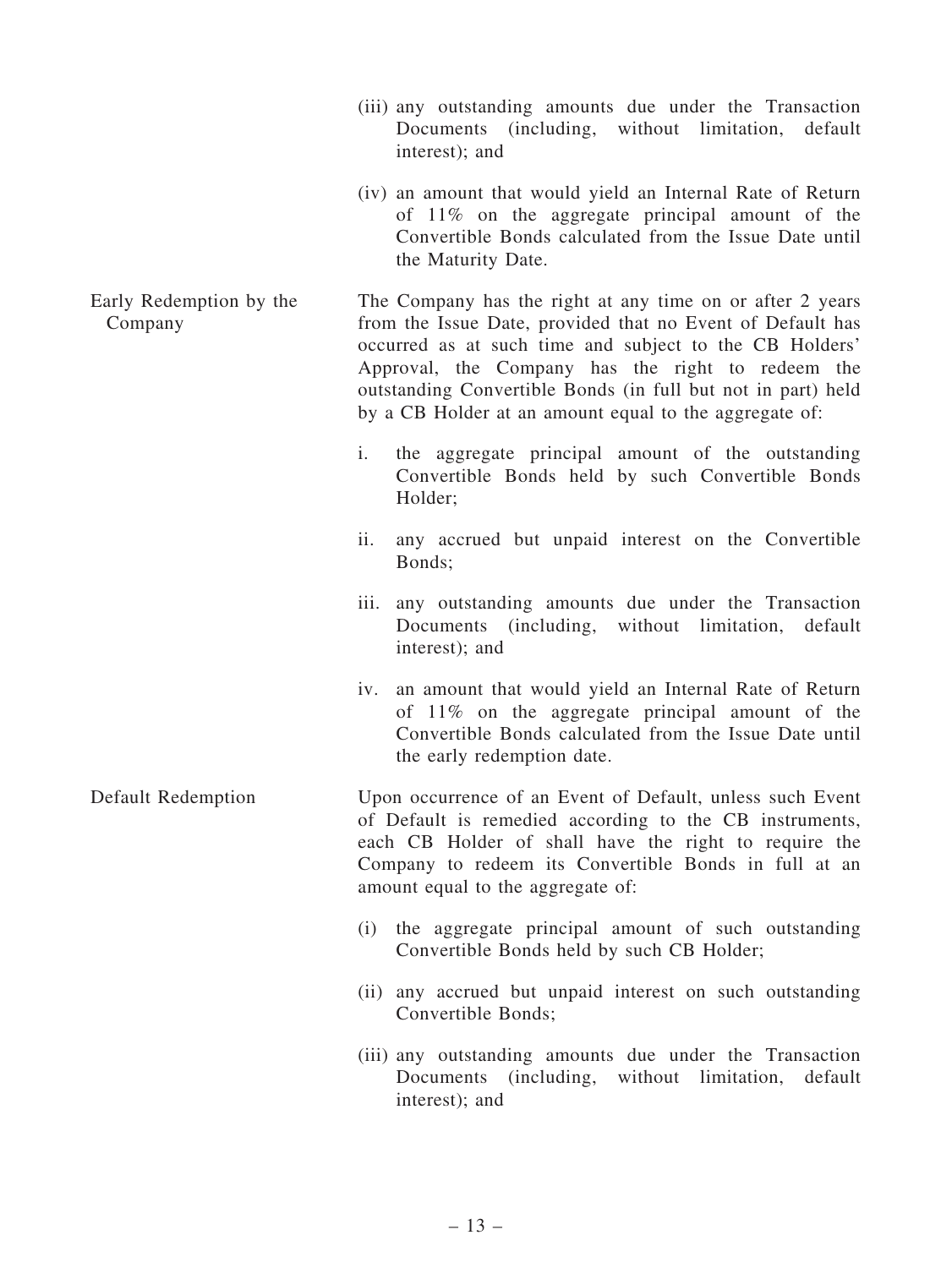- (iii) any outstanding amounts due under the Transaction Documents (including, without limitation, default interest); and
- (iv) an amount that would yield an Internal Rate of Return of 11% on the aggregate principal amount of the Convertible Bonds calculated from the Issue Date until the Maturity Date.

Early Redemption by the Company The Company has the right at any time on or after 2 years from the Issue Date, provided that no Event of Default has occurred as at such time and subject to the CB Holders' Approval, the Company has the right to redeem the outstanding Convertible Bonds (in full but not in part) held by a CB Holder at an amount equal to the aggregate of:

- i. the aggregate principal amount of the outstanding Convertible Bonds held by such Convertible Bonds Holder;
- ii. any accrued but unpaid interest on the Convertible Bonds;
- iii. any outstanding amounts due under the Transaction Documents (including, without limitation, default interest); and
- iv. an amount that would yield an Internal Rate of Return of 11% on the aggregate principal amount of the Convertible Bonds calculated from the Issue Date until the early redemption date.
- Default Redemption Upon occurrence of an Event of Default, unless such Event of Default is remedied according to the CB instruments, each CB Holder of shall have the right to require the Company to redeem its Convertible Bonds in full at an amount equal to the aggregate of:
	- (i) the aggregate principal amount of such outstanding Convertible Bonds held by such CB Holder;
	- (ii) any accrued but unpaid interest on such outstanding Convertible Bonds;
	- (iii) any outstanding amounts due under the Transaction Documents (including, without limitation, default interest); and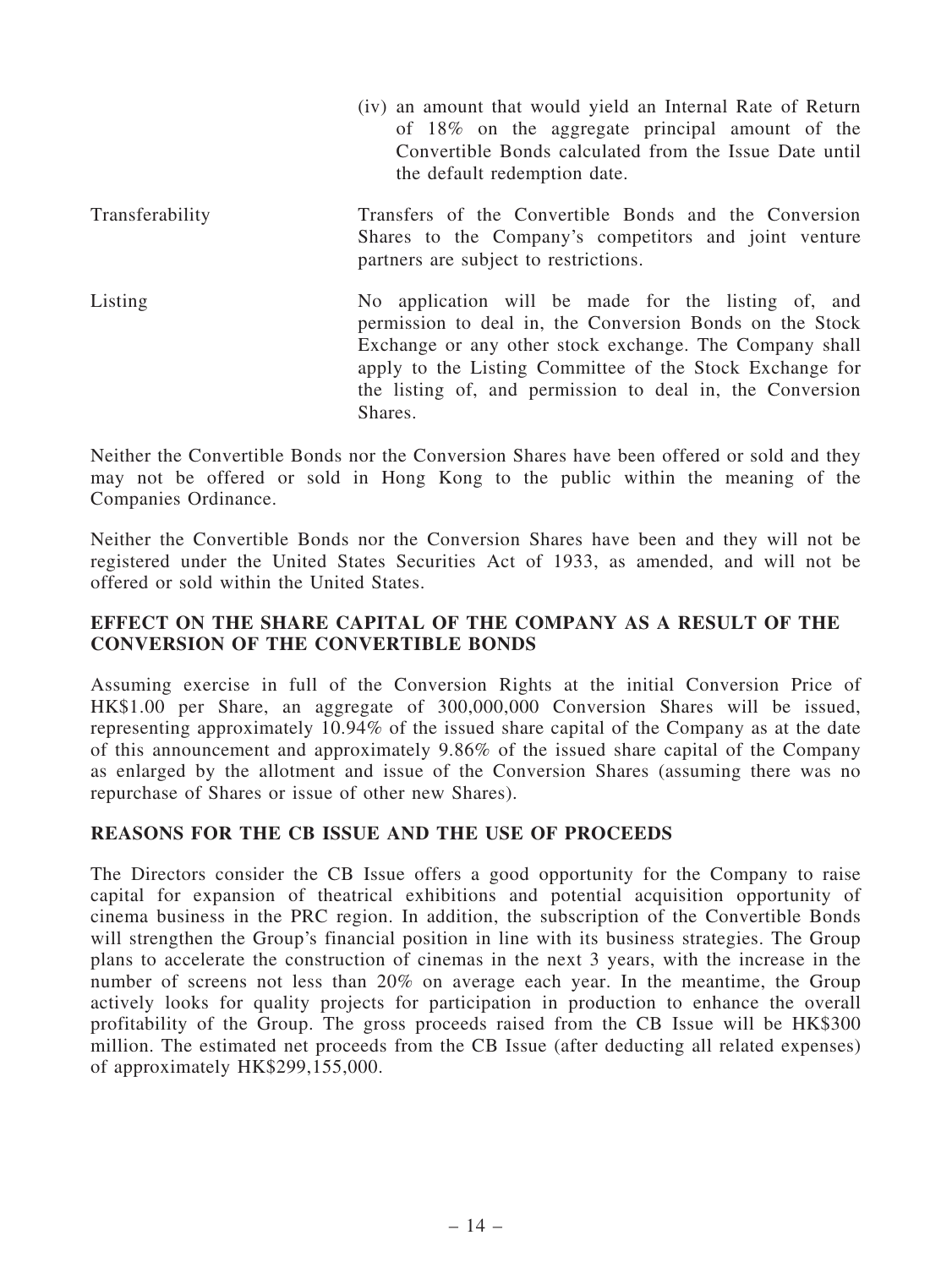(iv) an amount that would yield an Internal Rate of Return of 18% on the aggregate principal amount of the Convertible Bonds calculated from the Issue Date until the default redemption date. Transferability Transfers of the Convertible Bonds and the Conversion Shares to the Company's competitors and joint venture partners are subject to restrictions. Listing No application will be made for the listing of, and permission to deal in, the Conversion Bonds on the Stock Exchange or any other stock exchange. The Company shall apply to the Listing Committee of the Stock Exchange for the listing of, and permission to deal in, the Conversion Shares.

Neither the Convertible Bonds nor the Conversion Shares have been offered or sold and they may not be offered or sold in Hong Kong to the public within the meaning of the Companies Ordinance.

Neither the Convertible Bonds nor the Conversion Shares have been and they will not be registered under the United States Securities Act of 1933, as amended, and will not be offered or sold within the United States.

## EFFECT ON THE SHARE CAPITAL OF THE COMPANY AS A RESULT OF THE CONVERSION OF THE CONVERTIBLE BONDS

Assuming exercise in full of the Conversion Rights at the initial Conversion Price of HK\$1.00 per Share, an aggregate of 300,000,000 Conversion Shares will be issued, representing approximately 10.94% of the issued share capital of the Company as at the date of this announcement and approximately 9.86% of the issued share capital of the Company as enlarged by the allotment and issue of the Conversion Shares (assuming there was no repurchase of Shares or issue of other new Shares).

# REASONS FOR THE CB ISSUE AND THE USE OF PROCEEDS

The Directors consider the CB Issue offers a good opportunity for the Company to raise capital for expansion of theatrical exhibitions and potential acquisition opportunity of cinema business in the PRC region. In addition, the subscription of the Convertible Bonds will strengthen the Group's financial position in line with its business strategies. The Group plans to accelerate the construction of cinemas in the next 3 years, with the increase in the number of screens not less than 20% on average each year. In the meantime, the Group actively looks for quality projects for participation in production to enhance the overall profitability of the Group. The gross proceeds raised from the CB Issue will be HK\$300 million. The estimated net proceeds from the CB Issue (after deducting all related expenses) of approximately HK\$299,155,000.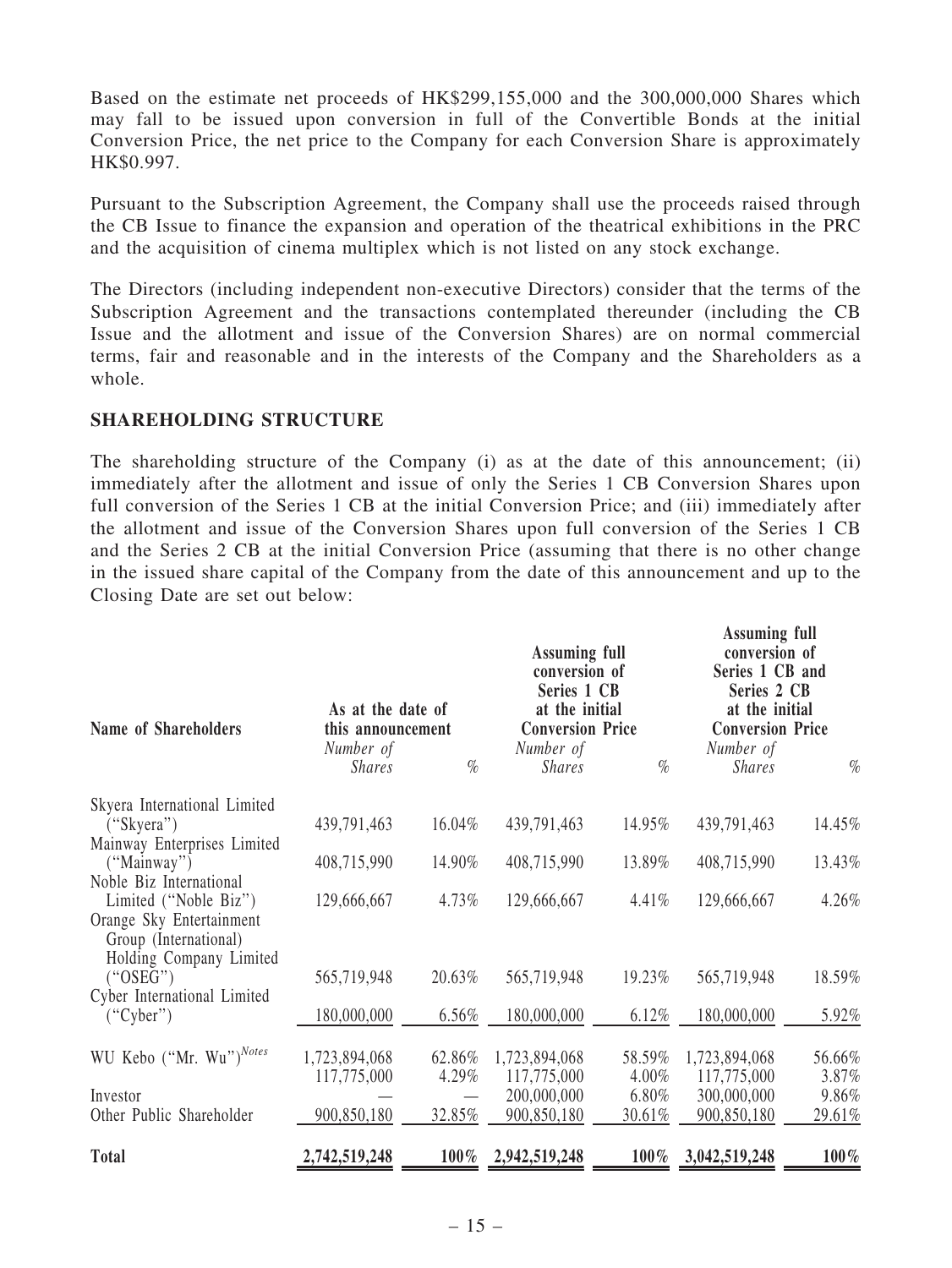Based on the estimate net proceeds of HK\$299,155,000 and the 300,000,000 Shares which may fall to be issued upon conversion in full of the Convertible Bonds at the initial Conversion Price, the net price to the Company for each Conversion Share is approximately HK\$0.997.

Pursuant to the Subscription Agreement, the Company shall use the proceeds raised through the CB Issue to finance the expansion and operation of the theatrical exhibitions in the PRC and the acquisition of cinema multiplex which is not listed on any stock exchange.

The Directors (including independent non-executive Directors) consider that the terms of the Subscription Agreement and the transactions contemplated thereunder (including the CB Issue and the allotment and issue of the Conversion Shares) are on normal commercial terms, fair and reasonable and in the interests of the Company and the Shareholders as a whole.

#### SHAREHOLDING STRUCTURE

The shareholding structure of the Company (i) as at the date of this announcement; (ii) immediately after the allotment and issue of only the Series 1 CB Conversion Shares upon full conversion of the Series 1 CB at the initial Conversion Price; and (iii) immediately after the allotment and issue of the Conversion Shares upon full conversion of the Series 1 CB and the Series 2 CB at the initial Conversion Price (assuming that there is no other change in the issued share capital of the Company from the date of this announcement and up to the Closing Date are set out below:

 $\mathbf{r}$   $\mathbf{r}$   $\mathbf{r}$   $\mathbf{r}$ 

| Name of Shareholders                                                       | As at the date of<br>this announcement<br>Number of |         | <b>Assuming full</b><br>conversion of<br>Series 1 CB<br>at the initial<br><b>Conversion Price</b><br>Number of |         | Assuming full<br>conversion of<br>Series 1 CB and<br>Series 2 CB<br>at the initial<br><b>Conversion Price</b><br>Number of |         |
|----------------------------------------------------------------------------|-----------------------------------------------------|---------|----------------------------------------------------------------------------------------------------------------|---------|----------------------------------------------------------------------------------------------------------------------------|---------|
|                                                                            | <b>Shares</b>                                       | $\%$    | <b>Shares</b>                                                                                                  | $\%$    | <b>Shares</b>                                                                                                              | $\%$    |
| Skyera International Limited                                               |                                                     |         |                                                                                                                |         |                                                                                                                            |         |
| ("Skyera")                                                                 | 439,791,463                                         | 16.04%  | 439,791,463                                                                                                    | 14.95%  | 439,791,463                                                                                                                | 14.45%  |
| Mainway Enterprises Limited<br>("Mainway")                                 | 408,715,990                                         | 14.90%  | 408,715,990                                                                                                    | 13.89%  | 408,715,990                                                                                                                | 13.43%  |
| Noble Biz International                                                    |                                                     |         |                                                                                                                |         |                                                                                                                            |         |
| Limited ("Noble Biz")<br>Orange Sky Entertainment<br>Group (International) | 129,666,667                                         | 4.73%   | 129,666,667                                                                                                    | 4.41%   | 129,666,667                                                                                                                | 4.26%   |
| Holding Company Limited<br>("OSEG")                                        | 565,719,948                                         | 20.63%  | 565,719,948                                                                                                    | 19.23%  | 565,719,948                                                                                                                | 18.59%  |
| Cyber International Limited                                                |                                                     |         |                                                                                                                |         |                                                                                                                            |         |
| ("Cyber")                                                                  | 180,000,000                                         | 6.56%   | 180,000,000                                                                                                    | 6.12%   | 180,000,000                                                                                                                | 5.92%   |
| WU Kebo ("Mr. Wu") <sup>Notes</sup>                                        | 1,723,894,068                                       | 62.86%  | 1,723,894,068                                                                                                  | 58.59%  | 1,723,894,068                                                                                                              | 56.66%  |
|                                                                            | 117,775,000                                         | 4.29%   | 117,775,000                                                                                                    | 4.00%   | 117,775,000                                                                                                                | 3.87%   |
| Investor                                                                   |                                                     |         | 200,000,000                                                                                                    | 6.80%   | 300,000,000                                                                                                                | 9.86%   |
| Other Public Shareholder                                                   | 900,850,180                                         | 32.85%  | 900,850,180                                                                                                    | 30.61%  | 900,850,180                                                                                                                | 29.61%  |
| <b>Total</b>                                                               | 2,742,519,248                                       | $100\%$ | 2,942,519,248                                                                                                  | $100\%$ | 3,042,519,248                                                                                                              | $100\%$ |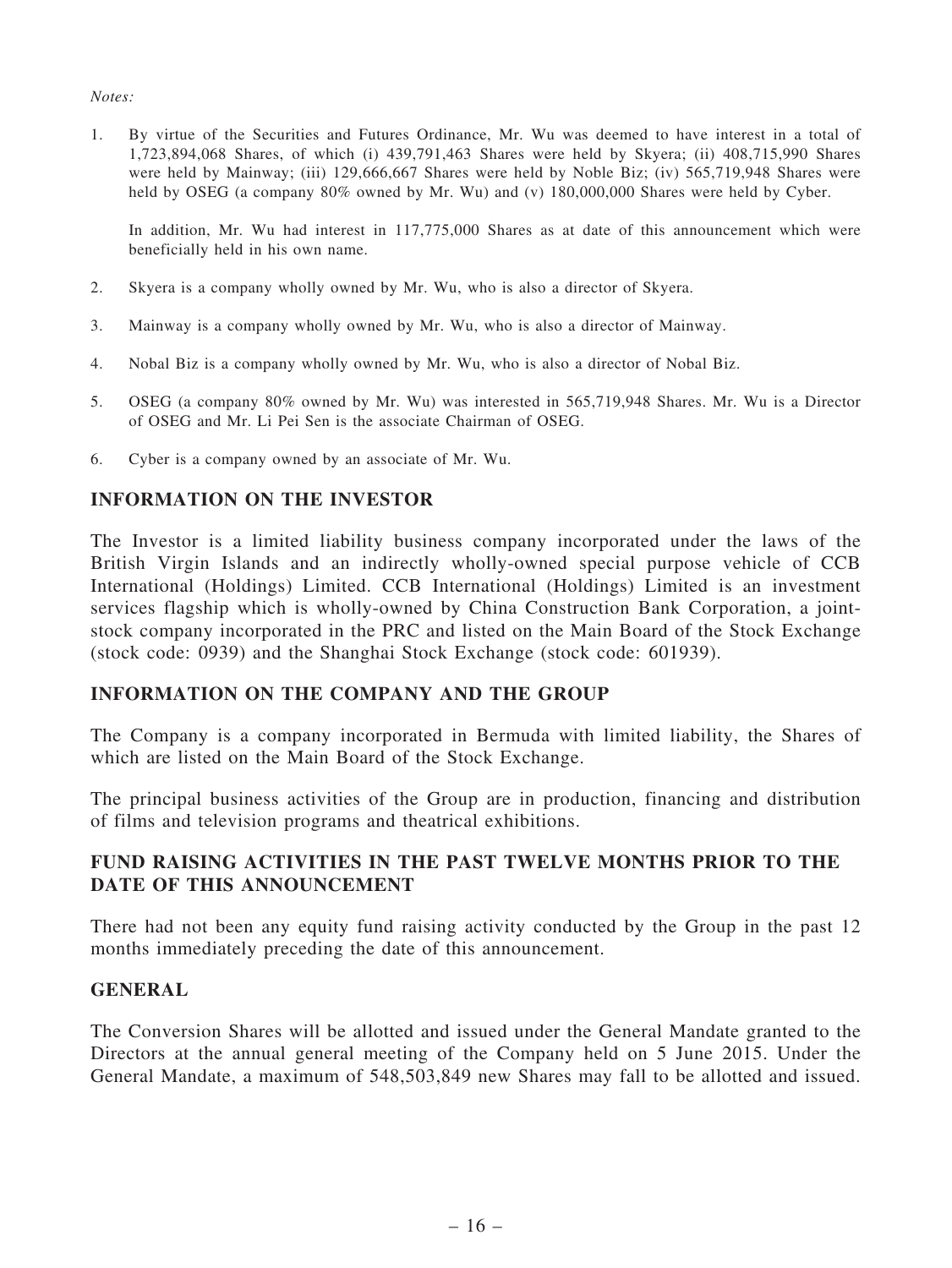#### Notes:

1. By virtue of the Securities and Futures Ordinance, Mr. Wu was deemed to have interest in a total of 1,723,894,068 Shares, of which (i) 439,791,463 Shares were held by Skyera; (ii) 408,715,990 Shares were held by Mainway; (iii) 129,666,667 Shares were held by Noble Biz; (iv) 565,719,948 Shares were held by OSEG (a company 80% owned by Mr. Wu) and (v) 180,000,000 Shares were held by Cyber.

In addition, Mr. Wu had interest in 117,775,000 Shares as at date of this announcement which were beneficially held in his own name.

- 2. Skyera is a company wholly owned by Mr. Wu, who is also a director of Skyera.
- 3. Mainway is a company wholly owned by Mr. Wu, who is also a director of Mainway.
- 4. Nobal Biz is a company wholly owned by Mr. Wu, who is also a director of Nobal Biz.
- 5. OSEG (a company 80% owned by Mr. Wu) was interested in 565,719,948 Shares. Mr. Wu is a Director of OSEG and Mr. Li Pei Sen is the associate Chairman of OSEG.
- 6. Cyber is a company owned by an associate of Mr. Wu.

#### INFORMATION ON THE INVESTOR

The Investor is a limited liability business company incorporated under the laws of the British Virgin Islands and an indirectly wholly-owned special purpose vehicle of CCB International (Holdings) Limited. CCB International (Holdings) Limited is an investment services flagship which is wholly-owned by China Construction Bank Corporation, a jointstock company incorporated in the PRC and listed on the Main Board of the Stock Exchange (stock code: 0939) and the Shanghai Stock Exchange (stock code: 601939).

#### INFORMATION ON THE COMPANY AND THE GROUP

The Company is a company incorporated in Bermuda with limited liability, the Shares of which are listed on the Main Board of the Stock Exchange.

The principal business activities of the Group are in production, financing and distribution of films and television programs and theatrical exhibitions.

## FUND RAISING ACTIVITIES IN THE PAST TWELVE MONTHS PRIOR TO THE DATE OF THIS ANNOUNCEMENT

There had not been any equity fund raising activity conducted by the Group in the past 12 months immediately preceding the date of this announcement.

#### **GENERAL**

The Conversion Shares will be allotted and issued under the General Mandate granted to the Directors at the annual general meeting of the Company held on 5 June 2015. Under the General Mandate, a maximum of 548,503,849 new Shares may fall to be allotted and issued.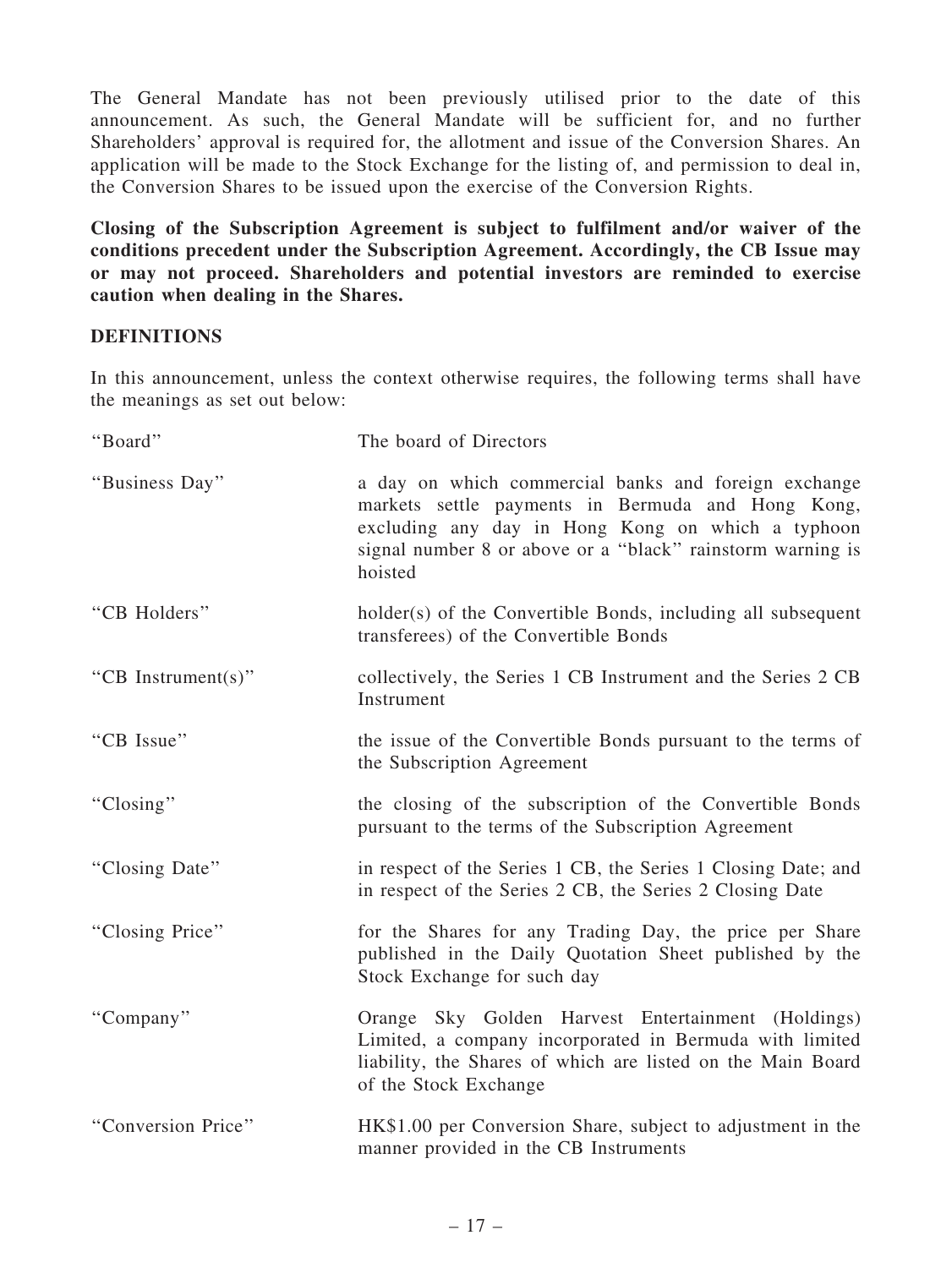The General Mandate has not been previously utilised prior to the date of this announcement. As such, the General Mandate will be sufficient for, and no further Shareholders' approval is required for, the allotment and issue of the Conversion Shares. An application will be made to the Stock Exchange for the listing of, and permission to deal in, the Conversion Shares to be issued upon the exercise of the Conversion Rights.

Closing of the Subscription Agreement is subject to fulfilment and/or waiver of the conditions precedent under the Subscription Agreement. Accordingly, the CB Issue may or may not proceed. Shareholders and potential investors are reminded to exercise caution when dealing in the Shares.

### **DEFINITIONS**

In this announcement, unless the context otherwise requires, the following terms shall have the meanings as set out below:

| "Board"            | The board of Directors                                                                                                                                                                                                                  |
|--------------------|-----------------------------------------------------------------------------------------------------------------------------------------------------------------------------------------------------------------------------------------|
| "Business Day"     | a day on which commercial banks and foreign exchange<br>markets settle payments in Bermuda and Hong Kong,<br>excluding any day in Hong Kong on which a typhoon<br>signal number 8 or above or a "black" rainstorm warning is<br>hoisted |
| "CB Holders"       | holder(s) of the Convertible Bonds, including all subsequent<br>transferees) of the Convertible Bonds                                                                                                                                   |
| "CB Instrument(s)" | collectively, the Series 1 CB Instrument and the Series 2 CB<br>Instrument                                                                                                                                                              |
| "CB Issue"         | the issue of the Convertible Bonds pursuant to the terms of<br>the Subscription Agreement                                                                                                                                               |
| "Closing"          | the closing of the subscription of the Convertible Bonds<br>pursuant to the terms of the Subscription Agreement                                                                                                                         |
| "Closing Date"     | in respect of the Series 1 CB, the Series 1 Closing Date; and<br>in respect of the Series 2 CB, the Series 2 Closing Date                                                                                                               |
| "Closing Price"    | for the Shares for any Trading Day, the price per Share<br>published in the Daily Quotation Sheet published by the<br>Stock Exchange for such day                                                                                       |
| "Company"          | Orange Sky Golden Harvest Entertainment (Holdings)<br>Limited, a company incorporated in Bermuda with limited<br>liability, the Shares of which are listed on the Main Board<br>of the Stock Exchange                                   |
| "Conversion Price" | HK\$1.00 per Conversion Share, subject to adjustment in the<br>manner provided in the CB Instruments                                                                                                                                    |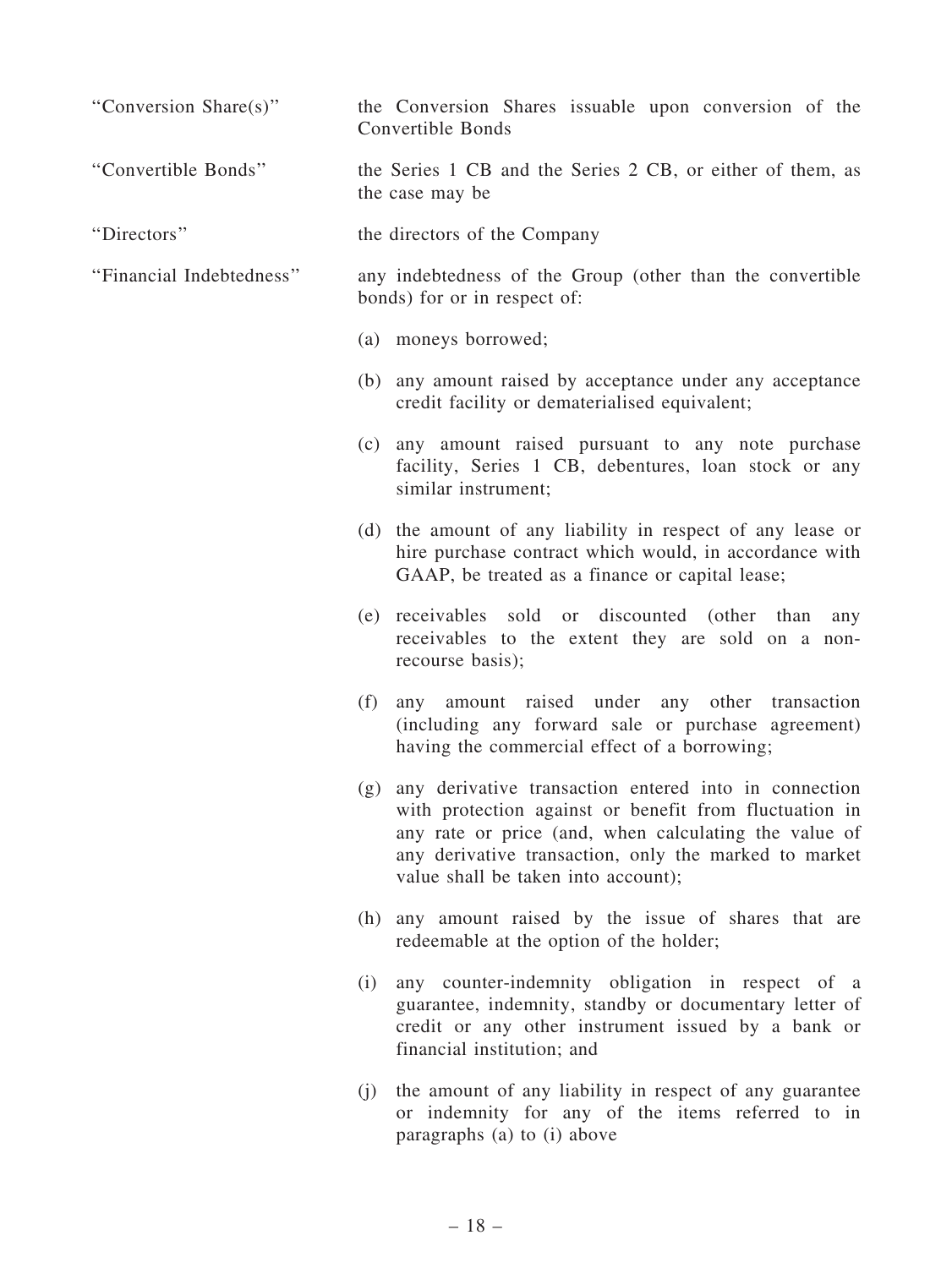| "Conversion Share(s)"    | the Conversion Shares issuable upon conversion of the<br>Convertible Bonds                                                                                                                                                                                                   |
|--------------------------|------------------------------------------------------------------------------------------------------------------------------------------------------------------------------------------------------------------------------------------------------------------------------|
| "Convertible Bonds"      | the Series 1 CB and the Series 2 CB, or either of them, as<br>the case may be                                                                                                                                                                                                |
| "Directors"              | the directors of the Company                                                                                                                                                                                                                                                 |
| "Financial Indebtedness" | any indebtedness of the Group (other than the convertible<br>bonds) for or in respect of:                                                                                                                                                                                    |
|                          | (a) moneys borrowed;                                                                                                                                                                                                                                                         |
|                          | (b) any amount raised by acceptance under any acceptance<br>credit facility or dematerialised equivalent;                                                                                                                                                                    |
|                          | (c) any amount raised pursuant to any note purchase<br>facility, Series 1 CB, debentures, loan stock or any<br>similar instrument;                                                                                                                                           |
|                          | (d) the amount of any liability in respect of any lease or<br>hire purchase contract which would, in accordance with<br>GAAP, be treated as a finance or capital lease;                                                                                                      |
|                          | (e) receivables sold or discounted (other than<br>any<br>receivables to the extent they are sold on a non-<br>recourse basis);                                                                                                                                               |
|                          | amount raised under any other transaction<br>(f)<br>any<br>(including any forward sale or purchase agreement)<br>having the commercial effect of a borrowing;                                                                                                                |
|                          | (g) any derivative transaction entered into in connection<br>with protection against or benefit from fluctuation in<br>any rate or price (and, when calculating the value of<br>any derivative transaction, only the marked to market<br>value shall be taken into account); |
|                          | (h) any amount raised by the issue of shares that are<br>redeemable at the option of the holder;                                                                                                                                                                             |
|                          | any counter-indemnity obligation in respect of a<br>(i)<br>guarantee, indemnity, standby or documentary letter of<br>credit or any other instrument issued by a bank or<br>financial institution; and                                                                        |
|                          | (j) the amount of any liability in respect of any guarantee<br>or indemnity for any of the items referred to in<br>paragraphs (a) to (i) above                                                                                                                               |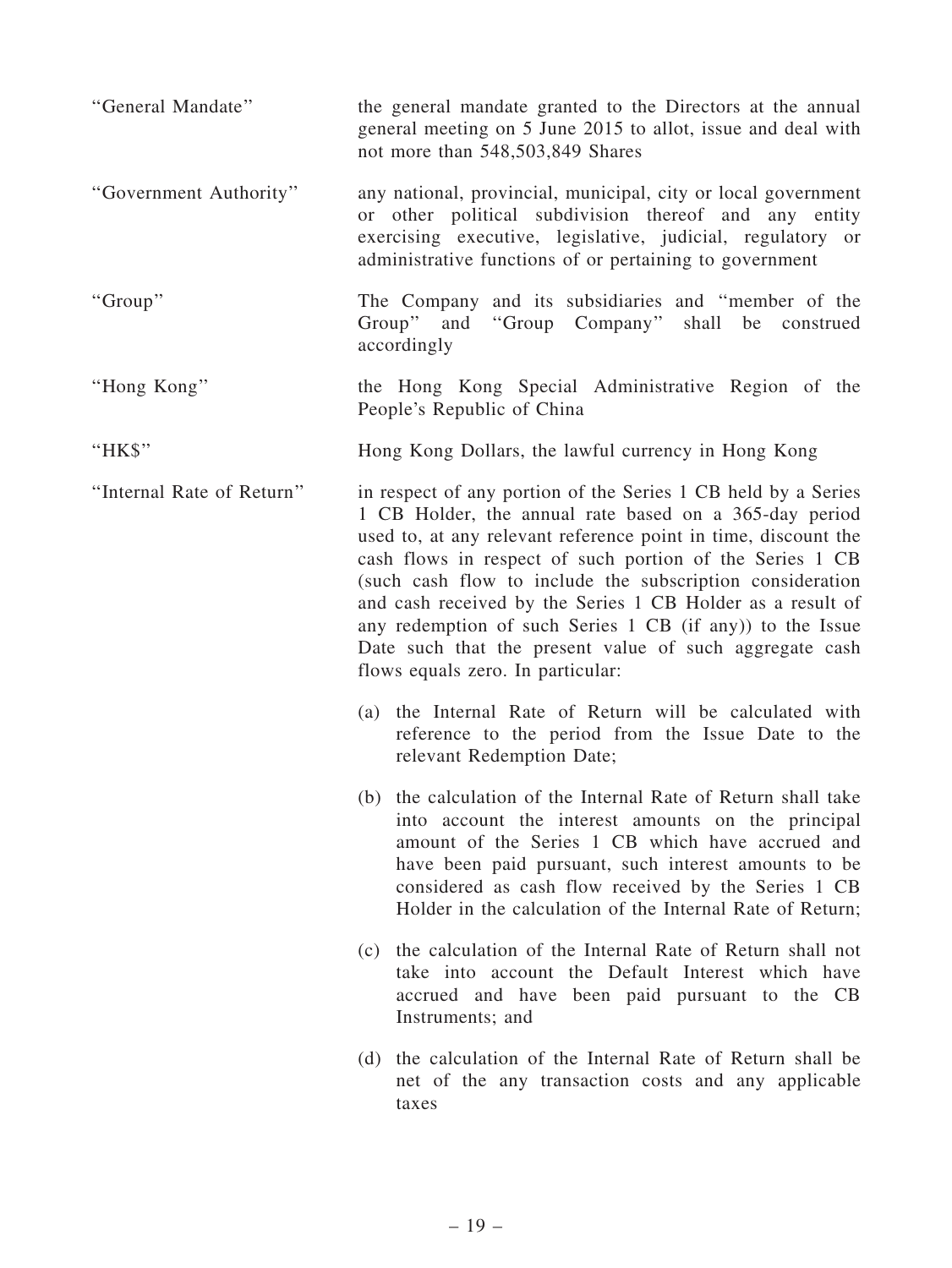| "General Mandate"         | the general mandate granted to the Directors at the annual<br>general meeting on 5 June 2015 to allot, issue and deal with<br>not more than 548,503,849 Shares                                                                                                                                                                                                                                                                                                                                                                                |
|---------------------------|-----------------------------------------------------------------------------------------------------------------------------------------------------------------------------------------------------------------------------------------------------------------------------------------------------------------------------------------------------------------------------------------------------------------------------------------------------------------------------------------------------------------------------------------------|
| "Government Authority"    | any national, provincial, municipal, city or local government<br>or other political subdivision thereof and any entity<br>exercising executive, legislative, judicial, regulatory or<br>administrative functions of or pertaining to government                                                                                                                                                                                                                                                                                               |
| "Group"                   | The Company and its subsidiaries and "member of the<br>Group" and "Group Company" shall be construed<br>accordingly                                                                                                                                                                                                                                                                                                                                                                                                                           |
| "Hong Kong"               | the Hong Kong Special Administrative Region of the<br>People's Republic of China                                                                                                                                                                                                                                                                                                                                                                                                                                                              |
| "HK\$"                    | Hong Kong Dollars, the lawful currency in Hong Kong                                                                                                                                                                                                                                                                                                                                                                                                                                                                                           |
| "Internal Rate of Return" | in respect of any portion of the Series 1 CB held by a Series<br>1 CB Holder, the annual rate based on a 365-day period<br>used to, at any relevant reference point in time, discount the<br>cash flows in respect of such portion of the Series 1 CB<br>(such cash flow to include the subscription consideration<br>and cash received by the Series 1 CB Holder as a result of<br>any redemption of such Series 1 CB (if any)) to the Issue<br>Date such that the present value of such aggregate cash<br>flows equals zero. In particular: |
|                           | (a) the Internal Rate of Return will be calculated with<br>reference to the period from the Issue Date to the<br>relevant Redemption Date;                                                                                                                                                                                                                                                                                                                                                                                                    |
|                           | (b) the calculation of the Internal Rate of Return shall take<br>into account the interest amounts on the principal<br>amount of the Series 1 CB which have accrued and<br>have been paid pursuant, such interest amounts to be<br>considered as cash flow received by the Series 1 CB<br>Holder in the calculation of the Internal Rate of Return;                                                                                                                                                                                           |
|                           | (c) the calculation of the Internal Rate of Return shall not<br>take into account the Default Interest which have<br>accrued and have been paid pursuant to the CB<br>Instruments; and                                                                                                                                                                                                                                                                                                                                                        |
|                           | (d) the calculation of the Internal Rate of Return shall be<br>net of the any transaction costs and any applicable<br>taxes                                                                                                                                                                                                                                                                                                                                                                                                                   |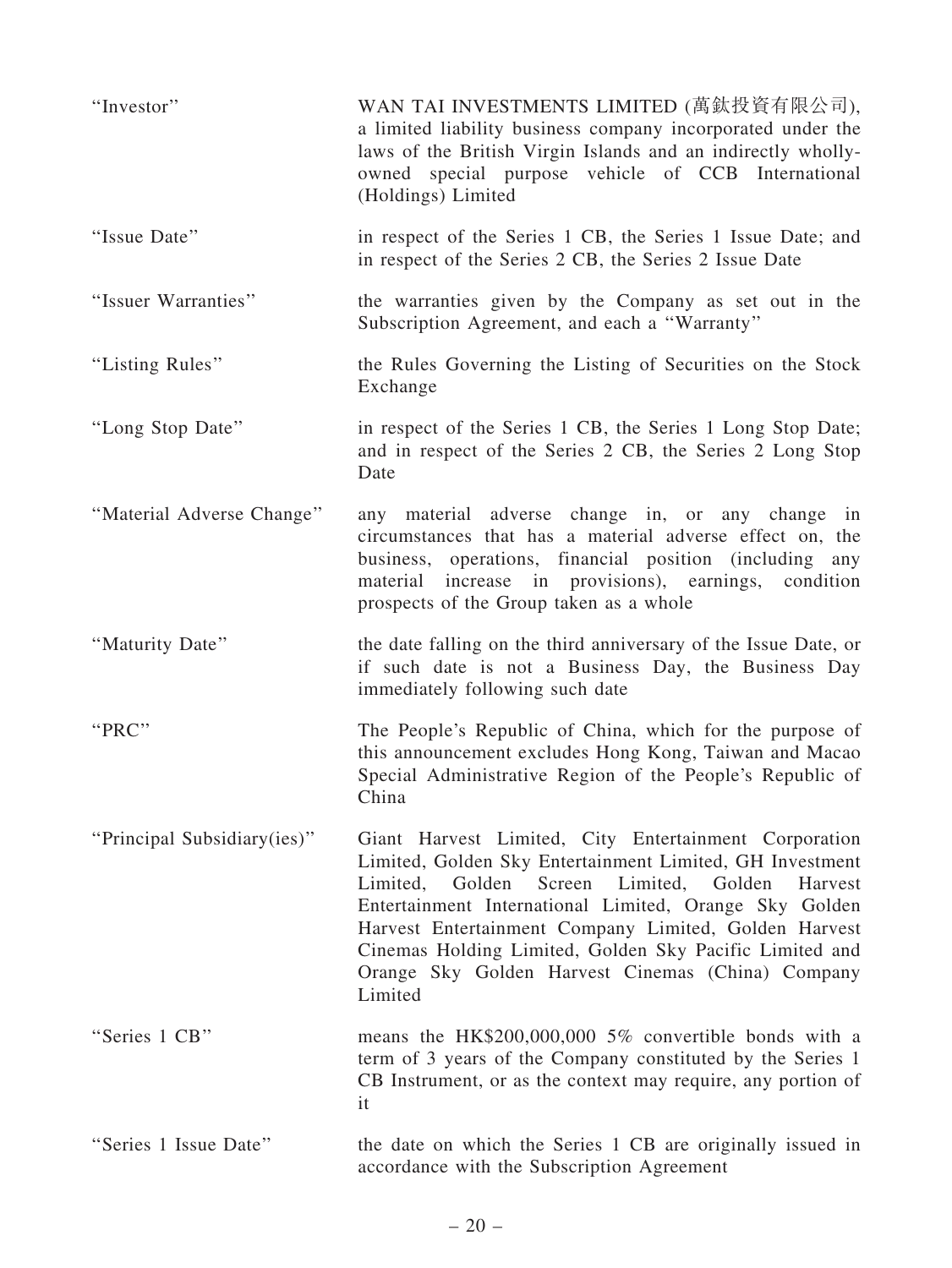| "Investor"                  | WAN TAI INVESTMENTS LIMITED (萬鈦投資有限公司),<br>a limited liability business company incorporated under the<br>laws of the British Virgin Islands and an indirectly wholly-<br>owned special purpose vehicle of CCB International<br>(Holdings) Limited                                                                                                                                                                               |
|-----------------------------|----------------------------------------------------------------------------------------------------------------------------------------------------------------------------------------------------------------------------------------------------------------------------------------------------------------------------------------------------------------------------------------------------------------------------------|
| "Issue Date"                | in respect of the Series 1 CB, the Series 1 Issue Date; and<br>in respect of the Series 2 CB, the Series 2 Issue Date                                                                                                                                                                                                                                                                                                            |
| "Issuer Warranties"         | the warranties given by the Company as set out in the<br>Subscription Agreement, and each a "Warranty"                                                                                                                                                                                                                                                                                                                           |
| "Listing Rules"             | the Rules Governing the Listing of Securities on the Stock<br>Exchange                                                                                                                                                                                                                                                                                                                                                           |
| "Long Stop Date"            | in respect of the Series 1 CB, the Series 1 Long Stop Date;<br>and in respect of the Series 2 CB, the Series 2 Long Stop<br>Date                                                                                                                                                                                                                                                                                                 |
| "Material Adverse Change"   | any material adverse change in, or any change in<br>circumstances that has a material adverse effect on, the<br>business, operations, financial position (including any<br>material increase in provisions), earnings, condition<br>prospects of the Group taken as a whole                                                                                                                                                      |
| "Maturity Date"             | the date falling on the third anniversary of the Issue Date, or<br>if such date is not a Business Day, the Business Day<br>immediately following such date                                                                                                                                                                                                                                                                       |
| "PRC"                       | The People's Republic of China, which for the purpose of<br>this announcement excludes Hong Kong, Taiwan and Macao<br>Special Administrative Region of the People's Republic of<br>China                                                                                                                                                                                                                                         |
| "Principal Subsidiary(ies)" | Giant Harvest Limited, City Entertainment Corporation<br>Limited, Golden Sky Entertainment Limited, GH Investment<br>Limited,<br>Golden<br>Screen<br>Golden<br>Limited,<br>Harvest<br>Entertainment International Limited, Orange Sky Golden<br>Harvest Entertainment Company Limited, Golden Harvest<br>Cinemas Holding Limited, Golden Sky Pacific Limited and<br>Orange Sky Golden Harvest Cinemas (China) Company<br>Limited |
| "Series 1 CB"               | means the HK\$200,000,000 5% convertible bonds with a<br>term of 3 years of the Company constituted by the Series 1<br>CB Instrument, or as the context may require, any portion of<br>it                                                                                                                                                                                                                                        |
| "Series 1 Issue Date"       | the date on which the Series 1 CB are originally issued in<br>accordance with the Subscription Agreement                                                                                                                                                                                                                                                                                                                         |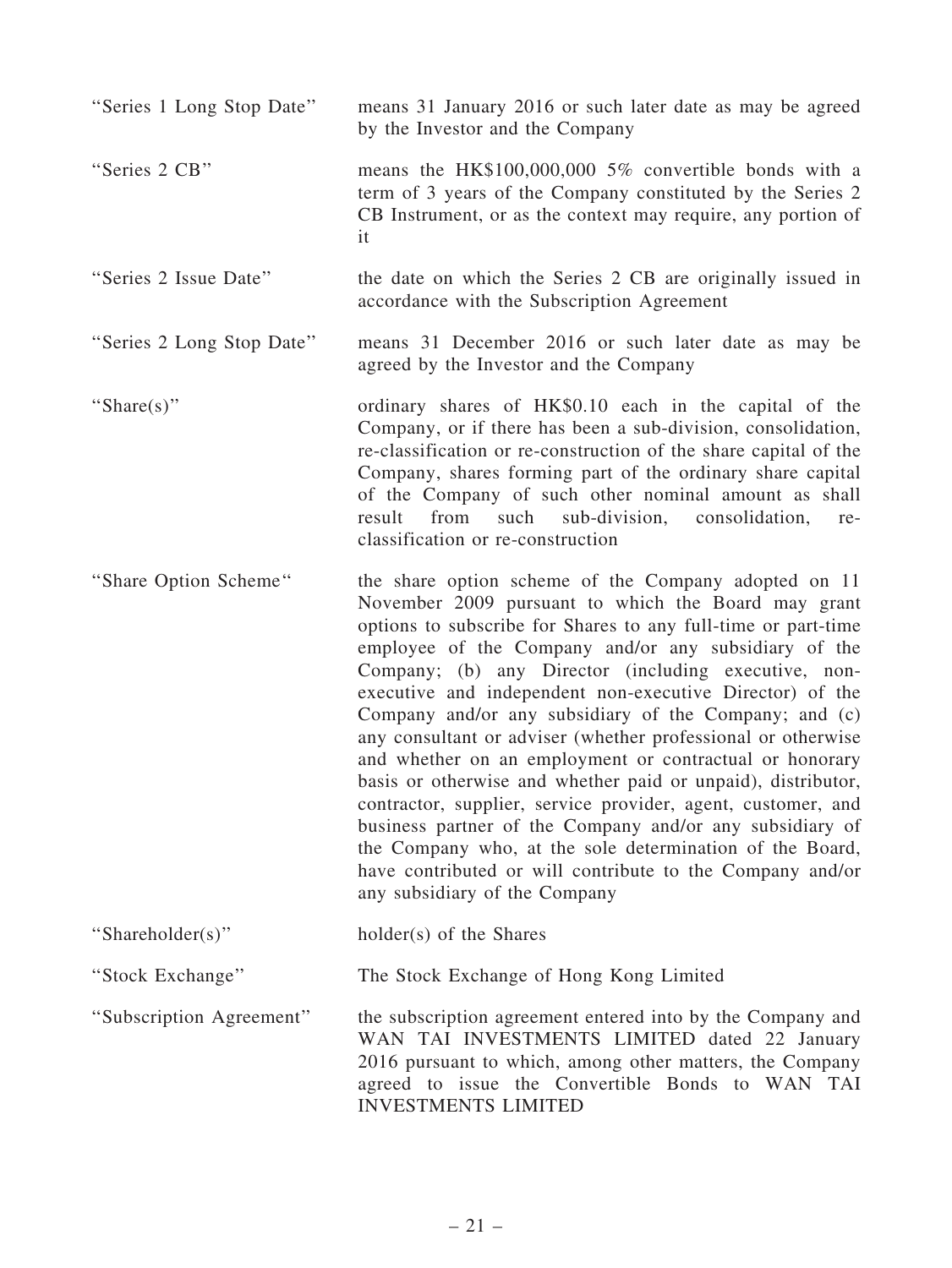| "Series 1 Long Stop Date" | means 31 January 2016 or such later date as may be agreed<br>by the Investor and the Company                                                                                                                                                                                                                                                                                                                                                                                                                                                                                                                                                                                                                                                                                                                                                                                                       |
|---------------------------|----------------------------------------------------------------------------------------------------------------------------------------------------------------------------------------------------------------------------------------------------------------------------------------------------------------------------------------------------------------------------------------------------------------------------------------------------------------------------------------------------------------------------------------------------------------------------------------------------------------------------------------------------------------------------------------------------------------------------------------------------------------------------------------------------------------------------------------------------------------------------------------------------|
| "Series 2 CB"             | means the HK\$100,000,000 5% convertible bonds with a<br>term of 3 years of the Company constituted by the Series 2<br>CB Instrument, or as the context may require, any portion of<br>it                                                                                                                                                                                                                                                                                                                                                                                                                                                                                                                                                                                                                                                                                                          |
| "Series 2 Issue Date"     | the date on which the Series 2 CB are originally issued in<br>accordance with the Subscription Agreement                                                                                                                                                                                                                                                                                                                                                                                                                                                                                                                                                                                                                                                                                                                                                                                           |
| "Series 2 Long Stop Date" | means 31 December 2016 or such later date as may be<br>agreed by the Investor and the Company                                                                                                                                                                                                                                                                                                                                                                                                                                                                                                                                                                                                                                                                                                                                                                                                      |
| "Share(s)"                | ordinary shares of HK\$0.10 each in the capital of the<br>Company, or if there has been a sub-division, consolidation,<br>re-classification or re-construction of the share capital of the<br>Company, shares forming part of the ordinary share capital<br>of the Company of such other nominal amount as shall<br>such sub-division,<br>result from<br>consolidation,<br>re-<br>classification or re-construction                                                                                                                                                                                                                                                                                                                                                                                                                                                                                |
| "Share Option Scheme"     | the share option scheme of the Company adopted on 11<br>November 2009 pursuant to which the Board may grant<br>options to subscribe for Shares to any full-time or part-time<br>employee of the Company and/or any subsidiary of the<br>Company; (b) any Director (including executive, non-<br>executive and independent non-executive Director) of the<br>Company and/or any subsidiary of the Company; and (c)<br>any consultant or adviser (whether professional or otherwise<br>and whether on an employment or contractual or honorary<br>basis or otherwise and whether paid or unpaid), distributor,<br>contractor, supplier, service provider, agent, customer, and<br>business partner of the Company and/or any subsidiary of<br>the Company who, at the sole determination of the Board,<br>have contributed or will contribute to the Company and/or<br>any subsidiary of the Company |
| "Shareholder(s)"          | holder(s) of the Shares                                                                                                                                                                                                                                                                                                                                                                                                                                                                                                                                                                                                                                                                                                                                                                                                                                                                            |
| "Stock Exchange"          | The Stock Exchange of Hong Kong Limited                                                                                                                                                                                                                                                                                                                                                                                                                                                                                                                                                                                                                                                                                                                                                                                                                                                            |
| "Subscription Agreement"  | the subscription agreement entered into by the Company and<br>WAN TAI INVESTMENTS LIMITED dated 22 January<br>2016 pursuant to which, among other matters, the Company<br>agreed to issue the Convertible Bonds to WAN TAI<br><b>INVESTMENTS LIMITED</b>                                                                                                                                                                                                                                                                                                                                                                                                                                                                                                                                                                                                                                           |